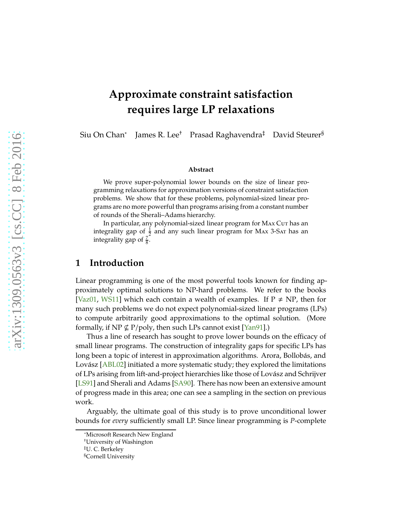# <span id="page-0-0"></span>**Approximate constraint satisfaction requires large LP relaxations**

Siu On Chan<sup>∗</sup> James R. Lee† Prasad Raghavendra‡ David Steurer§

#### **Abstract**

We prove super-polynomial lower bounds on the size of linear programming relaxations for approximation versions of constraint satisfaction problems. We show that for these problems, polynomial-sized linear programs are no more powerful than programs arising from a constant number of rounds of the Sherali–Adams hierarchy.

In particular, any polynomial-sized linear program for MAX Cut has an integrality gap of  $\frac{1}{2}$  and any such linear program for MAx 3-SAT has an integrality gap of  $\frac{7}{8}$ .

# **1 Introduction**

Linear programming is one of the most powerful tools known for finding approximately optimal solutions to NP-hard problems. We refer to the books [\[Vaz01,](#page-25-0) [WS11\]](#page-25-1) which each contain a wealth of examples. If  $P \neq NP$ , then for many such problems we do not expect polynomial-sized linear programs (LPs) to compute arbitrarily good approximations to the optimal solution. (More formally, if NP  $\nsubseteq$  P/poly, then such LPs cannot exist [\[Yan91\]](#page-25-2).)

Thus a line of research has sought to prove lower bounds on the efficacy of small linear programs. The construction of integrality gaps for specific LPs has long been a topic of interest in approximation algorithms. Arora, Bollobás, and Lovász [\[ABL02\]](#page-22-0) initiated a more systematic study; they explored the limitations of LPs arising from lift-and-project hierarchies like those of Lovász and Schrijver [\[LS91\]](#page-24-0) and Sherali and Adams [\[SA90\]](#page-24-1). There has now been an extensive amount of progress made in this area; one can see a sampling in the section on previous work.

Arguably, the ultimate goal of this study is to prove unconditional lower bounds for *every* sufficiently small LP. Since linear programming is *P*-complete

<sup>∗</sup>Microsoft Research New England

<sup>†</sup>University of Washington

<sup>‡</sup>U. C. Berkeley

<sup>§</sup>Cornell University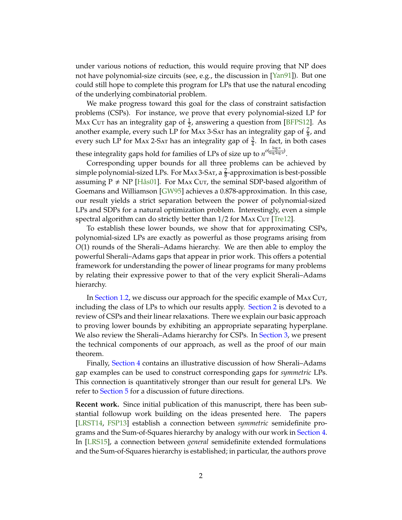<span id="page-1-0"></span>under various notions of reduction, this would require proving that NP does not have polynomial-size circuits (see, e.g., the discussion in [\[Yan91\]](#page-25-2)). But one could still hope to complete this program for LPs that use the natural encoding of the underlying combinatorial problem.

We make progress toward this goal for the class of constraint satisfaction problems (CSPs). For instance, we prove that every polynomial-sized LP for Max Cur has an integrality gap of  $\frac{1}{2}$ , answering a question from [\[BFPS12\]](#page-22-1). As another example, every such LP for Max 3-Sar has an integrality gap of  $\frac{7}{8}$ , and every such LP for Max 2-Sar has an integrality gap of  $\frac{3}{4}$ . In fact, in both cases these integrality gaps hold for families of LPs of size up to  $n^{o(\frac{\log n}{\log\log n})}$ .

Corresponding upper bounds for all three problems can be achieved by simple polynomial-sized LPs. For Max 3-Sar, a  $\frac{7}{8}$ -approximation is best-possible assuming  $P \neq NP$  [\[Hås01\]](#page-23-0). For Max Cut, the seminal SDP-based algorithm of Goemans and Williamson [\[GW95\]](#page-23-1) achieves a 0.878-approximation. In this case, our result yields a strict separation between the power of polynomial-sized LPs and SDPs for a natural optimization problem. Interestingly, even a simple spectral algorithm can do strictly better than  $1/2$  for MAX Cut [\[Tre12\]](#page-25-3).

To establish these lower bounds, we show that for approximating CSPs, polynomial-sized LPs are exactly as powerful as those programs arising from *O*(1) rounds of the Sherali–Adams hierarchy. We are then able to employ the powerful Sherali–Adams gaps that appear in prior work. This offers a potential framework for understanding the power of linear programs for many problems by relating their expressive power to that of the very explicit Sherali–Adams hierarchy.

In [Section 1.2,](#page-3-0) we discuss our approach for the specific example of Max Cut, including the class of LPs to which our results apply. [Section 2](#page-6-0) is devoted to a review of CSPs and their linear relaxations. There we explain our basic approach to proving lower bounds by exhibiting an appropriate separating hyperplane. We also review the Sherali–Adams hierarchy for CSPs. In [Section 3,](#page-12-0) we present the technical components of our approach, as well as the proof of our main theorem.

Finally, [Section 4](#page-18-0) contains an illustrative discussion of how Sherali–Adams gap examples can be used to construct corresponding gaps for *symmetric* LPs. This connection is quantitatively stronger than our result for general LPs. We refer to [Section 5](#page-21-0) for a discussion of future directions.

**Recent work.** Since initial publication of this manuscript, there has been substantial followup work building on the ideas presented here. The papers [\[LRST14,](#page-24-2) [FSP13\]](#page-23-2) establish a connection between *symmetric* semidefinite programs and the Sum-of-Squares hierarchy by analogy with our work in [Section 4.](#page-18-0) In [\[LRS15\]](#page-24-3), a connection between *general* semidefinite extended formulations and the Sum-of-Squares hierarchy is established; in particular, the authors prove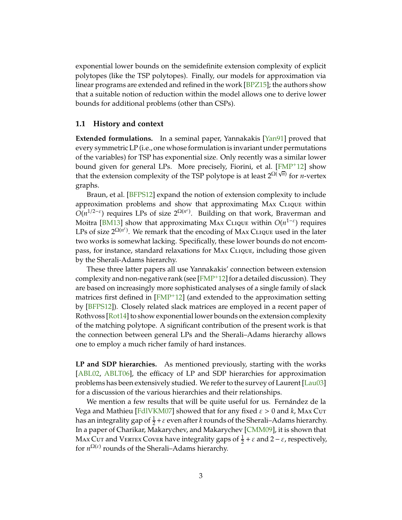<span id="page-2-0"></span>exponential lower bounds on the semidefinite extension complexity of explicit polytopes (like the TSP polytopes). Finally, our models for approximation via linear programs are extended and refined in the work [\[BPZ15\]](#page-22-2); the authors show that a suitable notion of reduction within the model allows one to derive lower bounds for additional problems (other than CSPs).

#### **1.1 History and context**

**Extended formulations.** In a seminal paper, Yannakakis [\[Yan91\]](#page-25-2) proved that every symmetric LP (i.e., one whose formulation is invariant under permutations of the variables) for TSP has exponential size. Only recently was a similar lower bound given for general LPs. More precisely, Fiorini, et al. [\[FMP](#page-23-3)+12] show that the extension complexity of the TSP polytope is at least  $2^{\Omega(\sqrt{n})}$  for *n*-vertex graphs.

Braun, et al. [\[BFPS12\]](#page-22-1) expand the notion of extension complexity to include approximation problems and show that approximating Max Clique within  $O(n^{1/2-\epsilon})$  requires LPs of size  $2^{\Omega(n^{\epsilon})}$ . Building on that work, Braverman and Moitra [\[BM13\]](#page-22-3) show that approximating Max Clique within *O*(*n* 1−ε ) requires LPs of size  $2^{\Omega(n^{\epsilon})}$ . We remark that the encoding of MAx CLIQUE used in the later two works is somewhat lacking. Specifically, these lower bounds do not encompass, for instance, standard relaxations for Max Clique, including those given by the Sherali-Adams hierarchy.

These three latter papers all use Yannakakis' connection between extension complexity and non-negative rank (see  $[FMP<sup>+</sup>12]$  for a detailed discussion). They are based on increasingly more sophisticated analyses of a single family of slack matrices first defined in [\[FMP](#page-23-3)+12] (and extended to the approximation setting by [\[BFPS12\]](#page-22-1)). Closely related slack matrices are employed in a recent paper of Rothvoss [\[Rot14\]](#page-24-4) to show exponential lower bounds on the extension complexity of the matching polytope. A significant contribution of the present work is that the connection between general LPs and the Sherali–Adams hierarchy allows one to employ a much richer family of hard instances.

**LP and SDP hierarchies.** As mentioned previously, starting with the works [\[ABL02,](#page-22-0) [ABLT06\]](#page-22-4), the efficacy of LP and SDP hierarchies for approximation problems has been extensively studied. We refer to the survey of Laurent [\[Lau03\]](#page-24-5) for a discussion of the various hierarchies and their relationships.

We mention a few results that will be quite useful for us. Fernández de la Vega and Mathieu [\[FdlVKM07\]](#page-23-4) showed that for any fixed  $\varepsilon > 0$  and  $k$ , MAx Cut has an integrality gap of  $\frac{1}{2}+\varepsilon$  even after *k* rounds of the Sherali–Adams hierarchy. In a paper of Charikar, Makarychev, and Makarychev [\[CMM09\]](#page-23-5), it is shown that Max Cut and VERTEX Cover have integrality gaps of  $\frac{1}{2} + \varepsilon$  and 2 –  $\varepsilon$ , respectively, for  $n^{\Omega(\varepsilon)}$  rounds of the Sherali–Adams hierarchy.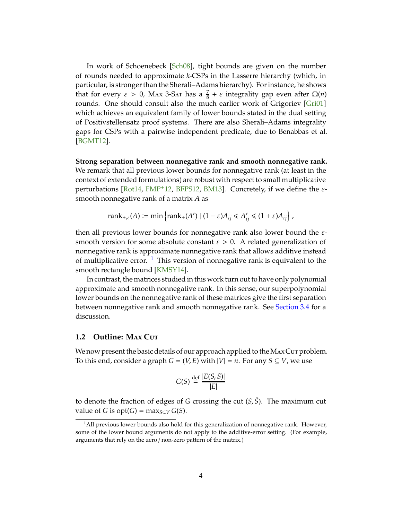<span id="page-3-2"></span>In work of Schoenebeck [\[Sch08\]](#page-24-6), tight bounds are given on the number of rounds needed to approximate *k*-CSPs in the Lasserre hierarchy (which, in particular, is stronger than the Sherali–Adams hierarchy). For instance, he shows that for every  $\varepsilon > 0$ , Max 3-Sar has a  $\frac{7}{8} + \varepsilon$  integrality gap even after  $\Omega(n)$ rounds. One should consult also the much earlier work of Grigoriev [\[Gri01\]](#page-23-6) which achieves an equivalent family of lower bounds stated in the dual setting of Positivstellensatz proof systems. There are also Sherali–Adams integrality gaps for CSPs with a pairwise independent predicate, due to Benabbas et al. [\[BGMT12\]](#page-22-5).

**Strong separation between nonnegative rank and smooth nonnegative rank.** We remark that all previous lower bounds for nonnegative rank (at least in the context of extended formulations) are robust with respect to small multiplicative perturbations [\[Rot14,](#page-24-4) [FMP](#page-23-3)<sup>+</sup>12, [BFPS12,](#page-22-1) [BM13\]](#page-22-3). Concretely, if we define the  $\varepsilon$ smooth nonnegative rank of a matrix *A* as

$$
rank_{+,\varepsilon}(A) := \min\left\{rank_{+}(A') \mid (1-\varepsilon)A_{ij} \leq A'_{ij} \leq (1+\varepsilon)A_{ij}\right\},\,
$$

then all previous lower bounds for nonnegative rank also lower bound the  $\varepsilon$ smooth version for some absolute constant  $\varepsilon > 0$ . A related generalization of nonnegative rank is approximate nonnegative rank that allows additive instead of multiplicative error.  $1$  This version of nonnegative rank is equivalent to the smooth rectangle bound [\[KMSY14\]](#page-23-7).

In contrast, the matrices studied in this work turn out to have only polynomial approximate and smooth nonnegative rank. In this sense, our superpolynomial lower bounds on the nonnegative rank of these matrices give the first separation between nonnegative rank and smooth nonnegative rank. See [Section 3.4](#page-17-0) for a discussion.

## <span id="page-3-0"></span>**1.2 Outline: M**ax **C**ut

We now present the basic details of our approach applied to the MAx Cut problem. To this end, consider a graph  $G = (V, E)$  with  $|V| = n$ . For any  $S \subseteq V$ , we use

$$
G(S) \stackrel{\text{def}}{=} \frac{|E(S, \bar{S})|}{|E|}
$$

to denote the fraction of edges of *G* crossing the cut  $(S, \bar{S})$ . The maximum cut value of *G* is  $opt(G) = \max_{S \subseteq V} G(S)$ .

<span id="page-3-1"></span> $<sup>1</sup>$ All previous lower bounds also hold for this generalization of nonnegative rank. However,</sup> some of the lower bound arguments do not apply to the additive-error setting. (For example, arguments that rely on the zero / non-zero pattern of the matrix.)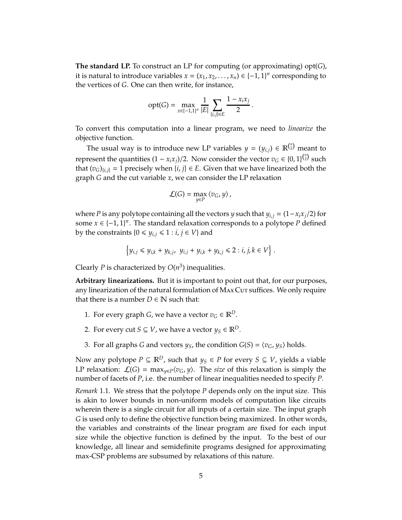**The standard LP.** To construct an LP for computing (or approximating) opt(*G*), it is natural to introduce variables  $x = (x_1, x_2, \ldots, x_n) \in \{-1, 1\}^n$  corresponding to the vertices of *G*. One can then write, for instance,

$$
opt(G) = \max_{x \in \{-1,1\}^n} \frac{1}{|E|} \sum_{\{i,j\} \in E} \frac{1 - x_i x_j}{2}.
$$

To convert this computation into a linear program, we need to *linearize* the objective function.

The usual way is to introduce new LP variables  $y = (y_{i,j}) \in \mathbb{R}^{n \choose 2}$  meant to represent the quantities  $(1 - x_i x_j)/2$ . Now consider the vector  $v_G \in \{0, 1\}^{{n \choose 2}}$  such that  $(v_G)_{\{i,j\}} = 1$  precisely when  $\{i,j\} \in E$ . Given that we have linearized both the graph *G* and the cut variable *x*, we can consider the LP relaxation

$$
\mathcal{L}(G)=\max_{y\in P}\left\langle v_{G},y\right\rangle ,
$$

where *P* is any polytope containing all the vectors *y* such that  $y_{i,j} = (1 - x_i x_j/2)$  for some  $x \in \{-1, 1\}^n$ . The standard relaxation corresponds to a polytope *P* defined by the constraints  $\{0 \leq y_{i,j} \leq 1 : i, j \in V\}$  and

$$
\left\{ y_{i,j} \leq y_{i,k} + y_{k,j}, \ y_{i,j} + y_{i,k} + y_{k,j} \leq 2 : i,j,k \in V \right\}.
$$

Clearly *P* is characterized by  $O(n^3)$  inequalities.

**Arbitrary linearizations.** But it is important to point out that, for our purposes, any linearization of the natural formulation of MAx Cut suffices. We only require that there is a number  $D \in \mathbb{N}$  such that:

- 1. For every graph *G*, we have a vector  $v_G \in \mathbb{R}^D$ .
- 2. For every cut *S*  $\subseteq$  *V*, we have a vector  $y_s \in \mathbb{R}^D$ .
- 3. For all graphs *G* and vectors  $y_S$ , the condition  $G(S) = \langle v_G, y_S \rangle$  holds.

Now any polytope *P* ⊆  $\mathbb{R}^D$ , such that *y*<sup>*s*</sup> ∈ *P* for every *S* ⊆ *V*, yields a viable LP relaxation:  $\mathcal{L}(G) = \max_{y \in P} \langle v_G, y \rangle$ . The *size* of this relaxation is simply the number of facets of *P*, i.e. the number of linear inequalities needed to specify *P*.

*Remark* 1.1*.* We stress that the polytope *P* depends only on the input size. This is akin to lower bounds in non-uniform models of computation like circuits wherein there is a single circuit for all inputs of a certain size. The input graph *G* is used only to define the objective function being maximized. In other words, the variables and constraints of the linear program are fixed for each input size while the objective function is defined by the input. To the best of our knowledge, all linear and semidefinite programs designed for approximating max-CSP problems are subsumed by relaxations of this nature.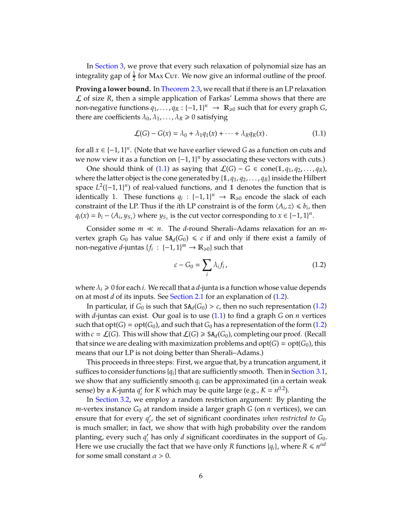In [Section 3,](#page-12-0) we prove that every such relaxation of polynomial size has an integrality gap of  $\frac{1}{2}$  for Max Cut. We now give an informal outline of the proof.

**Proving a lower bound.** In [Theorem 2.3,](#page-8-0) we recall that if there is an LP relaxation  $\mathcal L$  of size  $R$ , then a simple application of Farkas' Lemma shows that there are non-negative functions  $q_1, \ldots, q_R: \{-1, 1\}^n \rightarrow \mathbb{R}_{\geq 0}$  such that for every graph *G*, there are coefficients  $\lambda_0, \lambda_1, \ldots, \lambda_R \geq 0$  satisfying

<span id="page-5-0"></span>
$$
\mathcal{L}(G) - G(x) = \lambda_0 + \lambda_1 q_1(x) + \dots + \lambda_R q_R(x).
$$
 (1.1)

for all  $x \in \{-1,1\}^n$ . (Note that we have earlier viewed *G* as a function on cuts and we now view it as a function on {−1, 1} *<sup>n</sup>* by associating these vectors with cuts.)

One should think of [\(1.1\)](#page-5-0) as saying that  $\mathcal{L}(G)$  − *G* ∈ cone(1,  $q_1$ ,  $q_2$ , ...,  $q_R$ ), where the latter object is the cone generated by  $\{1, q_1, q_2, \ldots, q_R\}$  inside the Hilbert space  $L^2([-1, 1]^n)$  of real-valued functions, and 1 denotes the function that is identically 1. These functions  $q_i : \{-1,1\}^n \to \mathbb{R}_{\geq 0}$  encode the slack of each constraint of the LP. Thus if the *i*th LP constraint is of the form  $\langle A_i, z \rangle \leq b_i$ , then  $q_i(x) = b_i - \langle A_i, y_{S_x} \rangle$  where  $y_{S_x}$  is the cut vector corresponding to  $x \in \{-1, 1\}^n$ .

Consider some *m* ≪ *n*. The *d*-round Sherali–Adams relaxation for an *m*vertex graph  $G_0$  has value  $SA_d(G_0) \leq c$  if and only if there exist a family of non-negative *d*-juntas  $\{f_i: \{-1,1\}^m \to \mathbb{R}_{\geq 0}\}$  such that

<span id="page-5-1"></span>
$$
c - G_0 = \sum_i \lambda_i f_i, \qquad (1.2)
$$

where  $\lambda_i \geq 0$  for each *i*. We recall that a *d*-junta is a function whose value depends on at most *d* of its inputs. See [Section 2.1](#page-10-0) for an explanation of [\(1.2\)](#page-5-1).

In particular, if  $G_0$  is such that  $SA_d(G_0) > c$ , then no such representation [\(1.2\)](#page-5-1) with *d*-juntas can exist. Our goal is to use [\(1.1\)](#page-5-0) to find a graph *G* on *n* vertices such that  $opt(G) = opt(G_0)$ , and such that  $G_0$  has a representation of the form [\(1.2\)](#page-5-1) with  $c = \mathcal{L}(G)$ . This will show that  $\mathcal{L}(G) \geq \text{SA}_d(G_0)$ , completing our proof. (Recall that since we are dealing with maximization problems and  $opt(G) = opt(G_0)$ , this means that our LP is not doing better than Sherali–Adams.)

This proceeds in three steps: First, we argue that, by a truncation argument, it suffices to consider functions  ${q_i}$  that are sufficiently smooth. Then in [Section 3.1,](#page-13-0) we show that any sufficiently smooth *q<sup>i</sup>* can be approximated (in a certain weak sense) by a *K*-junta  $q'_i$  for *K* which may be quite large (e.g.,  $K = n^{0.2}$ ).

In [Section 3.2,](#page-14-0) we employ a random restriction argument: By planting the  $m$ -vertex instance  $G_0$  at random inside a larger graph  $G$  (on  $n$  vertices), we can ensure that for every  $q'_{i'}$ , the set of significant coordinates *when restricted to G*<sub>0</sub> is much smaller; in fact, we show that with high probability over the random planting, every such  $q'_i$  has only *d* significant coordinates in the support of *G*<sub>0</sub>. Here we use crucially the fact that we have only *R* functions  $\{q_i\}$ , where  $R \leq n^{\alpha d}$ for some small constant  $\alpha > 0$ .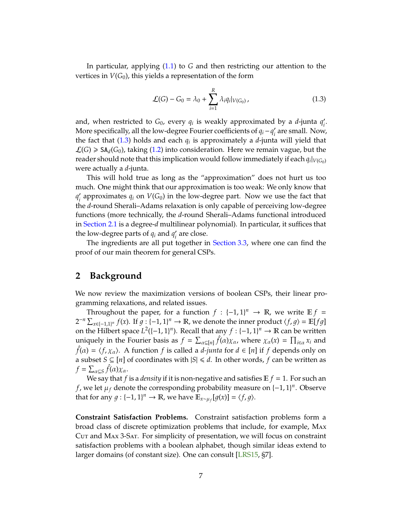<span id="page-6-2"></span>In particular, applying [\(1.1\)](#page-5-0) to *G* and then restricting our attention to the vertices in  $V(G_0)$ , this yields a representation of the form

<span id="page-6-1"></span>
$$
\mathcal{L}(G) - G_0 = \lambda_0 + \sum_{i=1}^{R} \lambda_i q_i |_{V(G_0)},
$$
\n(1.3)

and, when restricted to  $G_0$ , every  $q_i$  is weakly approximated by a *d*-junta  $q'_i$ . More specifically, all the low-degree Fourier coefficients of  $q_i - q'_i$  are small. Now, the fact that [\(1.3\)](#page-6-1) holds and each *q<sup>i</sup>* is approximately a *d*-junta will yield that  $\mathcal{L}(G) \geqslant \mathsf{SA}_{d}(G_0)$ , taking [\(1.2\)](#page-5-1) into consideration. Here we remain vague, but the reader should note that this implication would follow immediately if each  $q_i|_{V(G_0)}$ were actually a *d*-junta.

This will hold true as long as the "approximation" does not hurt us too much. One might think that our approximation is too weak: We only know that  $q'_i$  approximates  $q_i$  on  $V(G_0)$  in the low-degree part. Now we use the fact that the *d*-round Sherali–Adams relaxation is only capable of perceiving low-degree functions (more technically, the *d*-round Sherali–Adams functional introduced in [Section 2.1](#page-10-0) is a degree-*d* multilinear polynomial). In particular, it suffices that the low-degree parts of  $q_i$  and  $q'_i$  are close.

The ingredients are all put together in [Section 3.3,](#page-15-0) where one can find the proof of our main theorem for general CSPs.

# <span id="page-6-0"></span>**2 Background**

We now review the maximization versions of boolean CSPs, their linear programming relaxations, and related issues.

Throughout the paper, for a function  $f : \{-1, 1\}^n \to \mathbb{R}$ , we write  $\mathbb{E} f =$  $2^{-n} \sum_{x \in \{-1,1\}^n} f(x)$ . If  $g: \{-1,1\}^n \to \mathbb{R}$ , we denote the inner product  $\langle f, g \rangle = \mathbb{E}[fg]$ on the Hilbert space  $L^2([-1,1]^n)$ . Recall that any  $f: \{-1,1\}^n \to \mathbb{R}$  can be written uniquely in the Fourier basis as  $f = \sum_{\alpha \subseteq [n]} \hat{f}(\alpha) \chi_{\alpha}$ , where  $\chi_{\alpha}(x) = \prod_{i \in \alpha} x_i$  and  $\hat{f}(\alpha) = \langle f, \chi_{\alpha} \rangle$ . A function *f* is called a *d-junta* for  $d \in [n]$  if *f* depends only on a subset *S* ⊆ [*n*] of coordinates with  $|S|$  ≤ *d*. In other words, *f* can be written as  $f = \sum_{\alpha \subseteq S} \hat{f}(\alpha) \chi_{\alpha}$ .

We say that *f* is a *density* if it is non-negative and satisfies  $E f = 1$ . For such an *f*, we let  $\mu_f$  denote the corresponding probability measure on  $\{-1,1\}^n$ . Observe that for any  $g: \{-1, 1\}^n \to \mathbb{R}$ , we have  $\mathbb{E}_{x \sim \mu_f}[g(x)] = \langle f, g \rangle$ .

**Constraint Satisfaction Problems.** Constraint satisfaction problems form a broad class of discrete optimization problems that include, for example, Max Cut and Max 3-Sat. For simplicity of presentation, we will focus on constraint satisfaction problems with a boolean alphabet, though similar ideas extend to larger domains (of constant size). One can consult [\[LRS15,](#page-24-3) §7].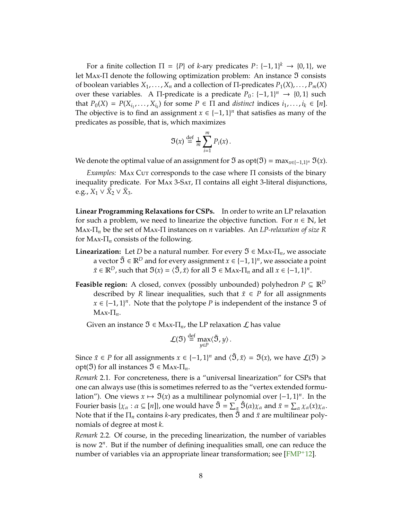<span id="page-7-1"></span>For a finite collection  $\Pi = \{P\}$  of *k*-ary predicates  $P: \{-1, 1\}^k \rightarrow \{0, 1\}$ , we let MAx-Π denote the following optimization problem: An instance 3 consists of boolean variables  $X_1, \ldots, X_n$  and a collection of  $\Pi$ -predicates  $P_1(X), \ldots, P_m(X)$ over these variables. A  $\Pi$ -predicate is a predicate  $P_0: \{-1, 1\}^n \rightarrow \{0, 1\}$  such that  $P_0(X) = P(X_{i_1},...,X_{i_k})$  for some  $P \in \Pi$  and *distinct* indices  $i_1,...,i_k \in [n]$ . The objective is to find an assignment  $x \in \{-1,1\}^n$  that satisfies as many of the predicates as possible, that is, which maximizes

$$
\mathfrak{I}(x) \stackrel{\text{def}}{=} \frac{1}{m} \sum_{i=1}^{m} P_i(x).
$$

We denote the optimal value of an assignment for  $\mathfrak I$  as  $\mathrm{opt}(\mathfrak I) = \max_{x \in \{-1,1\}^n} \mathfrak I(x)$ .

*Examples:* MAx Cuτ corresponds to the case where Π consists of the binary inequality predicate. For MAX 3-SAT,  $\Pi$  contains all eight 3-literal disjunctions, e.g., *X*<sub>1</sub> ∨ *X*<sub>2</sub> ∨ *X*<sub>3</sub>.

**Linear Programming Relaxations for CSPs.** In order to write an LP relaxation for such a problem, we need to linearize the objective function. For  $n \in \mathbb{N}$ , let Max-Π*<sup>n</sup>* be the set of Max-Π instances on *n* variables. An *LP-relaxation of size R* for Max-Π*<sup>n</sup>* consists of the following.

- **Linearization:** Let *D* be a natural number. For every  $\mathfrak{I} \in \text{Max-}\Pi_n$ , we associate a vector  $\tilde{\mathfrak{I}} \in \mathbb{R}^D$  and for every assignment  $x \in \{-1,1\}^n$ , we associate a point  $\tilde{x} \in \mathbb{R}^D$ , such that  $\mathfrak{I}(x) = \langle \tilde{\mathfrak{I}}, \tilde{x} \rangle$  for all  $\mathfrak{I} \in \mathbb{M}$  and all  $x \in \{-1, 1\}^n$ .
- **Feasible region:** A closed, convex (possibly unbounded) polyhedron  $P \subseteq \mathbb{R}^D$ described by *R* linear inequalities, such that  $\tilde{x} \in P$  for all assignments *x* ∈  $\{-1, 1\}$ <sup>*n*</sup>. Note that the polytope *P* is independent of the instance  $\Im$  of  $\text{Max-}\Pi_n$ .

Given an instance  $\mathfrak{I} \in \text{Max-}\Pi_n$ , the LP relaxation  $\mathcal{L}$  has value

$$
\mathcal{L}(\mathfrak{I}) \stackrel{\text{def}}{=} \max_{y \in P} \langle \tilde{\mathfrak{I}}, y \rangle.
$$

Since  $\tilde{x} \in P$  for all assignments  $x \in \{-1, 1\}^n$  and  $\langle \tilde{\mathfrak{I}}, \tilde{x} \rangle = \mathfrak{I}(x)$ , we have  $\mathcal{L}(\mathfrak{I}) \geq$ opt( $\mathfrak{I}$ ) for all instances  $\mathfrak{I} \in \text{Max-}\Pi_n$ .

<span id="page-7-0"></span>*Remark* 2.1*.* For concreteness, there is a "universal linearization" for CSPs that one can always use (this is sometimes referred to as the "vertex extended formulation"). One views  $x \mapsto \Im(x)$  as a multilinear polynomial over  $\{-1, 1\}^n$ . In the Fourier basis { $\chi_\alpha:\alpha\subseteq [n]$ }, one would have  $\tilde{\mathfrak{I}}=\sum_\alpha \mathfrak{I}(\alpha)\chi_\alpha$  and  $\tilde{x}=\sum_\alpha \chi_\alpha(x)\chi_\alpha.$ Note that if the  $\Pi_n$  contains *k*-ary predicates, then  $\tilde{y}$  and  $\tilde{x}$  are multilinear polynomials of degree at most *k*.

*Remark* 2.2*.* Of course, in the preceding linearization, the number of variables is now 2*<sup>n</sup>* . But if the number of defining inequalities small, one can reduce the number of variables via an appropriate linear transformation; see [\[FMP](#page-23-3)+12].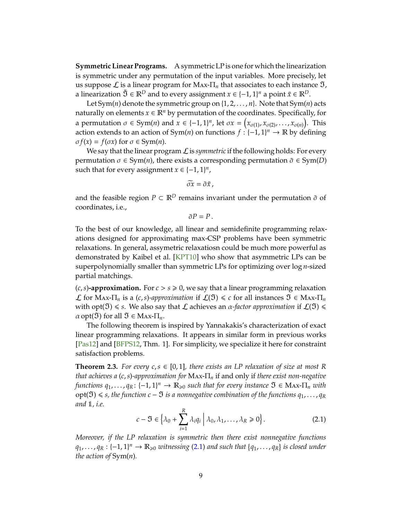<span id="page-8-2"></span>**Symmetric Linear Programs.** A symmetric LP is one for which the linearization is symmetric under any permutation of the input variables. More precisely, let us suppose  $\mathcal L$  is a linear program for MAx- $\Pi_n$  that associates to each instance  $\mathfrak I$ , a linearization  $\tilde{\mathfrak{I}} \in \mathbb{R}^D$  and to every assignment  $x \in \{-1,1\}^n$  a point  $\tilde{x} \in \mathbb{R}^D$ .

Let Sym(*n*) denote the symmetric group on {1, 2, . . . , *n*}. Note that Sym(*n*) acts naturally on elements  $x \in \mathbb{R}^n$  by permutation of the coordinates. Specifically, for a permutation  $\sigma \in \text{Sym}(n)$  and  $x \in \{-1, 1\}^n$ , let  $\sigma x = (x_{\sigma(1)}, x_{\sigma(2)}, \ldots, x_{\sigma(n)})$ . This action extends to an action of  $Sym(n)$  on functions  $f : (-1, 1]^n \to \mathbb{R}$  by defining  $\sigma f(x) = f(\sigma x)$  for  $\sigma \in \text{Sym}(n)$ .

We say that the linear program  $\mathcal L$  is *symmetric* if the following holds: For every permutation  $\sigma \in \text{Sym}(n)$ , there exists a corresponding permutation  $\tilde{\sigma} \in \text{Sym}(D)$ such that for every assignment  $x \in \{-1, 1\}^n$ ,

$$
\widetilde{\sigma x}=\widetilde{\sigma}\widetilde{x}\,,
$$

and the feasible region  $P \subset \mathbb{R}^D$  remains invariant under the permutation  $\tilde{\sigma}$  of coordinates, i.e.,

 $\tilde{\sigma}P = P$ .

To the best of our knowledge, all linear and semidefinite programming relaxations designed for approximating max-CSP problems have been symmetric relaxations. In general, assymetric relaxatiosn could be much more powerful as demonstrated by Kaibel et al. [\[KPT10\]](#page-23-8) who show that asymmetric LPs can be superpolynomially smaller than symmetric LPs for optimizing over log *n*-sized partial matchings.

 $(c, s)$ **-approximation.** For  $c > s \ge 0$ , we say that a linear programming relaxation *L* for MAx-Π<sub>*n*</sub> is a (*c*,*s*)-approximation if  $L(ℑ) ≤ c$  for all instances  $ℑ ∈ Max-T<sub>n</sub>$ with opt( $\mathfrak{I}$ )  $\leq$  *s*. We also say that  $\mathcal L$  achieves an  $\alpha$ -factor approximation if  $\mathcal L(\mathfrak{I})$   $\leq$  $\alpha$  opt( $\mathfrak{I}$ ) for all  $\mathfrak{I} \in \text{Max-}\Pi_n$ .

The following theorem is inspired by Yannakakis's characterization of exact linear programming relaxations. It appears in similar form in previous works [\[Pas12\]](#page-24-7) and [\[BFPS12,](#page-22-1) Thm. 1]. For simplicity, we specialize it here for constraint satisfaction problems.

<span id="page-8-0"></span>**Theorem 2.3.** *For every c*, $s \in [0, 1]$ *, there exists an LP relaxation of size at most R that achieves a* (*c*,*s*)*-approximation for* Max-Π*<sup>n</sup>* if and only if *there exist non-negative*  $f$ unctions  $q_1, \ldots, q_R \colon \{-1, 1\}^n \to \mathbb{R}_{\geqslant 0}$  such that for every instance  $\mathfrak{I} \in \mathrm{Max} \text{-} \Pi_n$  with opt(ℑ) <sup>6</sup> *s, the function c* − ℑ *is a nonnegative combination of the functions q*1, . . . , *<sup>q</sup><sup>R</sup> and* 1*, i.e.*

<span id="page-8-1"></span>
$$
c - \mathfrak{I} \in \left\{ \lambda_0 + \sum_{i=1}^R \lambda_i q_i \mid \lambda_0, \lambda_1, \dots, \lambda_R \ge 0 \right\}.
$$
 (2.1)

*Moreover, if the LP relaxation is symmetric then there exist nonnegative functions*  $q_1, \ldots, q_R: \{-1, 1\}^n \to \mathbb{R}_{\geqslant 0}$  witnessing [\(2.1\)](#page-8-1) and such that  $\{q_1, \ldots, q_R\}$  is closed under *the action of* Sym(*n*)*.*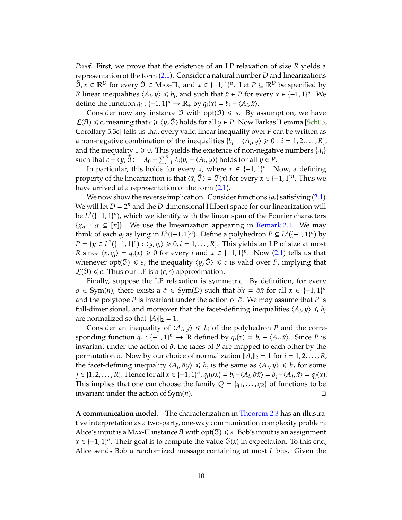<span id="page-9-0"></span>*Proof.* First, we prove that the existence of an LP relaxation of size *R* yields a representation of the form [\(2.1\)](#page-8-1). Consider a natural number *D* and linearizations  $\tilde{\mathfrak{I}}, \tilde{x} \in \mathbb{R}^D$  for every  $\mathfrak{I} \in \mathcal{M}$  and  $x \in \{-1, 1\}^n$ . Let  $P \subseteq \mathbb{R}^D$  be specified by *R* linear inequalities  $\langle A_i, y \rangle \leq b_i$ , and such that  $\tilde{x} \in P$  for every  $x \in \{-1, 1\}^n$ . We define the function  $q_i : \{-1, 1\}^n \to \mathbb{R}_+$  by  $q_i(x) = b_i - \langle A_i, \tilde{x} \rangle$ .

Consider now any instance  $\Im$  with opt( $\Im$ )  $\leq$  *s*. By assumption, we have  $\mathcal{L}(\mathfrak{I}) \leq c$ , meaning that *c* ≥  $\langle y, \tilde{\mathfrak{I}} \rangle$  holds for all *y* ∈ *P*. Now Farkas' Lemma [\[Sch03,](#page-24-8) Corollary 5.3c] tells us that every valid linear inequality over *P* can be written as a non-negative combination of the inequalities  ${b_i - \langle A_i, y \rangle \ge 0 : i = 1, 2, ..., R}$ , and the inequality  $1 \ge 0$ . This yields the existence of non-negative numbers  $\{\lambda_i\}$ such that  $c - \langle y, \tilde{S} \rangle = \lambda_0 + \sum_{i=1}^R \lambda_i (b_i - \langle A_i, y \rangle)$  holds for all  $y \in P$ .

In particular, this holds for every  $\tilde{x}$ , where  $x \in \{-1,1\}^n$ . Now, a defining property of the linearization is that  $\langle \tilde{x}, \tilde{\mathfrak{B}} \rangle = \mathfrak{I}(x)$  for every  $x \in \{-1, 1\}^n$ . Thus we have arrived at a representation of the form  $(2.1)$ .

We now show the reverse implication. Consider functions {*qi*} satisfying [\(2.1\)](#page-8-1). We will let  $D = 2^n$  and the *D*-dimensional Hilbert space for our linearization will be  $L^2([-1, 1]^n)$ , which we identify with the linear span of the Fourier characters  $\{\chi_{\alpha} : \alpha \subseteq [n]\}.$  We use the linearization appearing in [Remark 2.1.](#page-7-0) We may think of each  $q_i$  as lying in  $L^2([-1, 1]^n)$ . Define a polyhedron  $P \subseteq L^2([-1, 1]^n)$  by *P* = {*y* ∈ *L*<sup>2</sup>({−1, 1}<sup>*n*</sup>) :  $\langle y, q_i \rangle \ge 0, i = 1, ..., R$ }. This yields an LP of size at most *R* since  $\langle \tilde{x}, q_i \rangle = q_i(x) \ge 0$  for every *i* and  $x \in \{-1, 1\}^n$ . Now [\(2.1\)](#page-8-1) tells us that whenever  $opt(\mathfrak{I}) \leq s$ , the inequality  $\langle y, \mathfrak{I} \rangle \leq c$  is valid over *P*, implying that  $\mathcal{L}(\mathfrak{I}) \leq c$ . Thus our LP is a  $(c, s)$ -approximation.

Finally, suppose the LP relaxation is symmetric. By definition, for every  $\sigma \in \text{Sym}(n)$ , there exists a  $\tilde{\sigma} \in \text{Sym}(D)$  such that  $\tilde{\sigma} \tilde{x} = \tilde{\sigma} \tilde{x}$  for all  $x \in \{-1, 1\}^n$ and the polytope *P* is invariant under the action of  $\tilde{\sigma}$ . We may assume that *P* is full-dimensional, and moreover that the facet-defining inequalities  $\langle A_i, y \rangle \leq b_i$ are normalized so that  $||A_i||_2 = 1$ .

Consider an inequality of  $\langle A_i, y \rangle \le b_i$  of the polyhedron *P* and the corresponding function  $q_i : \{-1, 1\}^n \to \mathbb{R}$  defined by  $q_i(x) = b_i - \langle A_i, \tilde{x} \rangle$ . Since *P* is invariant under the action of  $\tilde{\sigma}$ , the faces of *P* are mapped to each other by the permutation  $\tilde{\sigma}$ . Now by our choice of normalization  $||A_i||_2 = 1$  for  $i = 1, 2, ..., R$ , the facet-defining inequality  $\langle A_i, \tilde{\sigma} y \rangle \leq b_i$  is the same as  $\langle A_j, y \rangle \leq b_j$  for some  $j \in \{1, 2, ..., R\}$ . Hence for all  $x \in \{-1, 1\}^n$ ,  $q_i(\sigma x) = b_i - \langle A_i, \tilde{\sigma} \tilde{x} \rangle = b_j - \langle A_j, \tilde{x} \rangle = q_j(x)$ . This implies that one can choose the family  $Q = \{q_1, \ldots, q_R\}$  of functions to be invariant under the action of Sym(*n*).

**A communication model.** The characterization in [Theorem 2.3](#page-8-0) has an illustrative interpretation as a two-party, one-way communication complexity problem: Alice's input is a Max- $\Pi$  instance  $\mathfrak I$  with  $opt(\mathfrak I) \leq s$ . Bob's input is an assignment *x* ∈ {-1, 1}<sup>*n*</sup>. Their goal is to compute the value  $\mathfrak{I}(x)$  in expectation. To this end, Alice sends Bob a randomized message containing at most *L* bits. Given the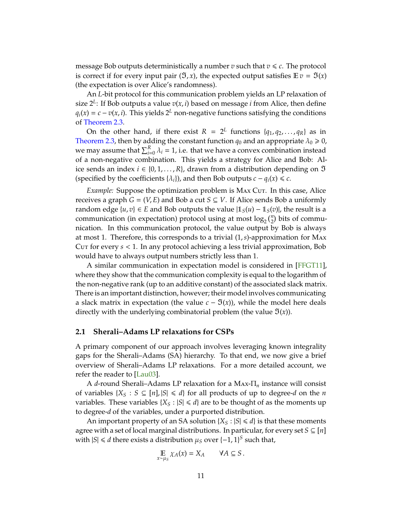<span id="page-10-1"></span>message Bob outputs deterministically a number  $v$  such that  $v \leq c$ . The protocol is correct if for every input pair  $(\mathfrak{I}, x)$ , the expected output satisfies  $\mathbb{E} v = \mathfrak{I}(x)$ (the expectation is over Alice's randomness).

An *L*-bit protocol for this communication problem yields an LP relaxation of size 2*<sup>L</sup>* : If Bob outputs a value *v*(*x*, *i*) based on message *i* from Alice, then define  $q_i(x) = c - v(x, i)$ . This yields  $2^L$  non-negative functions satisfying the conditions of [Theorem 2.3.](#page-8-0)

On the other hand, if there exist  $R = 2^L$  functions  $\{q_1, q_2, \ldots, q_R\}$  as in [Theorem 2.3,](#page-8-0) then by adding the constant function  $q_0$  and an appropriate  $\lambda_0 \ge 0$ , we may assume that  $\sum_{i=0}^{R} \lambda_i = 1$ , i.e. that we have a convex combination instead of a non-negative combination. This yields a strategy for Alice and Bob: Alice sends an index  $i \in \{0, 1, ..., R\}$ , drawn from a distribution depending on **①** (specified by the coefficients  $\{\lambda_i\}$ ), and then Bob outputs  $c - q_i(x) \leq c$ .

*Example:* Suppose the optimization problem is MAX Cut. In this case, Alice receives a graph  $G = (V, E)$  and Bob a cut  $S \subseteq V$ . If Alice sends Bob a uniformly random edge  $\{u, v\} \in E$  and Bob outputs the value  $|1_S(u) - 1_S(v)|$ , the result is a communication (in expectation) protocol using at most  $log_2(\frac{n}{2})$  bits of communication. In this communication protocol, the value output by Bob is always at most 1. Therefore, this corresponds to a trivial (1,*s*)-approximation for Max Cut for every *s* < 1. In any protocol achieving a less trivial approximation, Bob would have to always output numbers strictly less than 1.

A similar communication in expectation model is considered in [\[FFGT11\]](#page-23-9), where they show that the communication complexity is equal to the logarithm of the non-negative rank (up to an additive constant) of the associated slack matrix. There is an important distinction, however; their model involves communicating a slack matrix in expectation (the value  $c - \mathfrak{I}(x)$ ), while the model here deals directly with the underlying combinatorial problem (the value  $\mathfrak{I}(x)$ ).

## <span id="page-10-0"></span>**2.1 Sherali–Adams LP relaxations for CSPs**

A primary component of our approach involves leveraging known integrality gaps for the Sherali–Adams (SA) hierarchy. To that end, we now give a brief overview of Sherali–Adams LP relaxations. For a more detailed account, we refer the reader to [\[Lau03\]](#page-24-5).

A *d*-round Sherali–Adams LP relaxation for a Max-Π*<sup>n</sup>* instance will consist of variables  $\{X_S : S \subseteq [n], |S| \le d\}$  for all products of up to degree-*d* on the *n* variables. These variables  ${X<sub>S</sub> : |S| \le d}$  are to be thought of as the moments up to degree-*d* of the variables, under a purported distribution.

An important property of an SA solution  $\{X_{\mathcal{S}} : |\mathcal{S}| \leq d\}$  is that these moments agree with a set of local marginal distributions. In particular, for every set  $S \subseteq [n]$ with  $|S| \le d$  there exists a distribution  $\mu_S$  over  $\{-1, 1\}^S$  such that,

$$
\mathop{\mathbb{E}}_{x \sim \mu_S} \chi_A(x) = X_A \qquad \forall A \subseteq S.
$$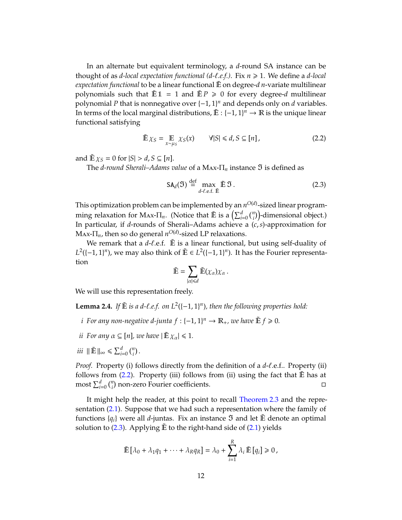In an alternate but equivalent terminology, a *d*-round SA instance can be thought of as *d-local expectation functional (d-*ℓ*.e.f.)*. Fix *n* > 1. We define a *d-local expectation functional* to be a linear functional  $\tilde{E}$  on degree-*d n*-variate multilinear polynomials such that  $\mathbb{E} \mathbb{1} = 1$  and  $\mathbb{E} P \ge 0$  for every degree-*d* multilinear polynomial *P* that is nonnegative over  $\{-1, 1\}^n$  and depends only on *d* variables. In terms of the local marginal distributions,  $\tilde{\mathbb{E}}$  : {–1, 1}<sup>n</sup> →  $\mathbb{R}$  is the unique linear functional satisfying

<span id="page-11-0"></span>
$$
\tilde{\mathbb{E}}\,\chi_{S} = \mathop{\mathbb{E}}_{x \sim \mu_{S}} \chi_{S}(x) \qquad \forall |S| \leq d, S \subseteq [n],\tag{2.2}
$$

and  $\mathbb{E}\chi_S = 0$  for  $|S| > d$ ,  $S \subseteq [n]$ .

The *d-round Sherali–Adams value* of a Max-Π*<sup>n</sup>* instance ℑ is defined as

<span id="page-11-1"></span>
$$
SA_d(\mathfrak{I}) \stackrel{\text{def}}{=} \max_{d \text{-}\ell.\epsilon.\tilde{E}} \tilde{E} \mathfrak{I}. \tag{2.3}
$$

This optimization problem can be implemented by an  $n^{O(d)}$ -sized linear programming relaxation for Max- $\Pi_n$ . (Notice that  $\tilde{E}$  is a  $\left(\sum_{i=0}^d {n \choose i}\right)$ -dimensional object.) In particular, if *d*-rounds of Sherali–Adams achieve a (*c*,*s*)-approximation for  $\text{Max-T}_{n}$ , then so do general  $n^{O(d)}$ -sized LP relaxations.

We remark that a  $d-\ell$ .e.f.  $\tilde{E}$  is a linear functional, but using self-duality of *L*<sup>2</sup>({−1, 1}<sup>*n*</sup>), we may also think of  $\tilde{\mathbb{E}}$  ∈ *L*<sup>2</sup>({−1, 1}<sup>*n*</sup>). It has the Fourier representation

$$
\tilde{\mathbb{E}} = \sum_{|\alpha| \leq d} \tilde{\mathbb{E}}(\chi_{\alpha}) \chi_{\alpha}.
$$

We will use this representation freely.

<span id="page-11-2"></span>**Lemma 2.4.** If  $\mathbb{E}$  is a d- $\ell$ .e.f. on  $L^2([-1, 1]^n)$ , then the following properties hold:

- *i* For any non-negative d-junta  $f: \{-1, 1\}^n \to \mathbb{R}_+$ , we have  $\tilde{\mathbb{E}} f \geq 0$ .
- *ii For any*  $\alpha \subseteq [n]$ , we have  $|\tilde{E} \chi_{\alpha}| \leq 1$ .
- *iii*  $\|\tilde{\mathbf{E}}\|_{\infty} \le \sum_{i=0}^{d} \binom{n}{i}$ .

*Proof.* Property (i) follows directly from the definition of a *d*- $\ell$ .e.f.. Property (ii) follows from  $(2.2)$ . Property (iii) follows from (ii) using the fact that  $\tilde{E}$  has at  $\sum_{i=0}^{d} \binom{n}{i}$  non-zero Fourier coefficients.

It might help the reader, at this point to recall [Theorem 2.3](#page-8-0) and the representation [\(2.1\)](#page-8-1). Suppose that we had such a representation where the family of functions  $\{q_i\}$  were all *d*-juntas. Fix an instance  $\mathfrak I$  and let  $\mathbb \tilde E$  denote an optimal solution to  $(2.3)$ . Applying  $\tilde{E}$  to the right-hand side of  $(2.1)$  yields

$$
\tilde{\mathbb{E}}\left[\lambda_0 + \lambda_1 q_1 + \cdots + \lambda_R q_R\right] = \lambda_0 + \sum_{i=1}^R \lambda_i \, \tilde{\mathbb{E}}\left[q_i\right] \geq 0 \,,
$$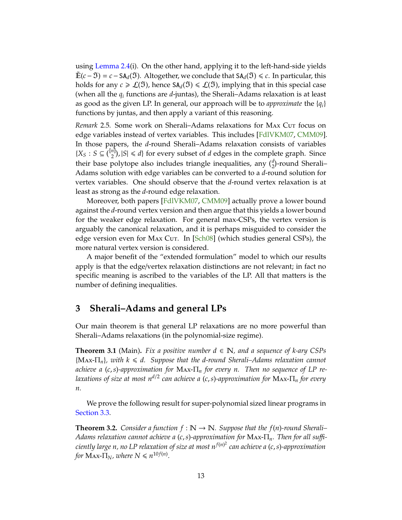<span id="page-12-3"></span>using [Lemma 2.4\(](#page-11-2)i). On the other hand, applying it to the left-hand-side yields <sup>E</sup>˜ (*c*− ℑ) <sup>=</sup> *<sup>c</sup>*−SA*d*(ℑ). Altogether, we conclude that SA*d*(ℑ) <sup>6</sup> *<sup>c</sup>*. In particular, this holds for any  $c \geq \mathcal{L}(\mathfrak{I})$ , hence  $SA_d(\mathfrak{I}) \leq \mathcal{L}(\mathfrak{I})$ , implying that in this special case (when all the *q<sup>i</sup>* functions are *d*-juntas), the Sherali–Adams relaxation is at least as good as the given LP. In general, our approach will be to *approximate* the {*qi*} functions by juntas, and then apply a variant of this reasoning.

*Remark* 2.5. Some work on Sherali–Adams relaxations for MAX Cut focus on edge variables instead of vertex variables. This includes [\[FdlVKM07,](#page-23-4) [CMM09\]](#page-23-5). In those papers, the *d*-round Sherali–Adams relaxation consists of variables  ${X_S : S ⊆ \binom{[n]}{2}, |S| ≤ d}$  for every subset of *d* edges in the complete graph. Since their base polytope also includes triangle inequalities, any  $\binom{d}{2}$ -round Sherali-Adams solution with edge variables can be converted to a *d*-round solution for vertex variables. One should observe that the *d*-round vertex relaxation is at least as strong as the *d*-round edge relaxation.

Moreover, both papers [\[FdlVKM07,](#page-23-4) [CMM09\]](#page-23-5) actually prove a lower bound against the *d*-round vertex version and then argue that this yields a lower bound for the weaker edge relaxation. For general max-CSPs, the vertex version is arguably the canonical relaxation, and it is perhaps misguided to consider the edge version even for MAx Cut. In [\[Sch08\]](#page-24-6) (which studies general CSPs), the more natural vertex version is considered.

A major benefit of the "extended formulation" model to which our results apply is that the edge/vertex relaxation distinctions are not relevant; in fact no specific meaning is ascribed to the variables of the LP. All that matters is the number of defining inequalities.

# <span id="page-12-0"></span>**3 Sherali–Adams and general LPs**

Our main theorem is that general LP relaxations are no more powerful than Sherali–Adams relaxations (in the polynomial-size regime).

<span id="page-12-1"></span>**Theorem 3.1** (Main). *Fix a positive number*  $d \in \mathbb{N}$ *, and a sequence of k-ary CSPs* {Max-Π*n*}*, with k* <sup>6</sup> *d. Suppose that the d-round Sherali–Adams relaxation cannot achieve a* (*c*,*s*)*-approximation for* Max-Π*<sup>n</sup> for every n. Then no sequence of LP relaxations of size at most nd*/<sup>2</sup> *can achieve a* (*c*,*s*)*-approximation for* Max-Π*<sup>n</sup> for every n.*

We prove the following result for super-polynomial sized linear programs in [Section 3.3.](#page-15-0)

<span id="page-12-2"></span>**Theorem 3.2.** *Consider a function*  $f : \mathbb{N} \to \mathbb{N}$ *. Suppose that the*  $f(n)$ *-round Sherali– Adams relaxation cannot achieve a* (*c*,*s*)*-approximation for* Max-Π*n. Then for all su*ffi*ciently large n, no LP relaxation of size at most nf*(*n*) 2 *can achieve a* (*c*,*s*)*-approximation for*  $\text{Max-}\Pi_N$ *, where*  $N \leq n^{10f(n)}$ *.*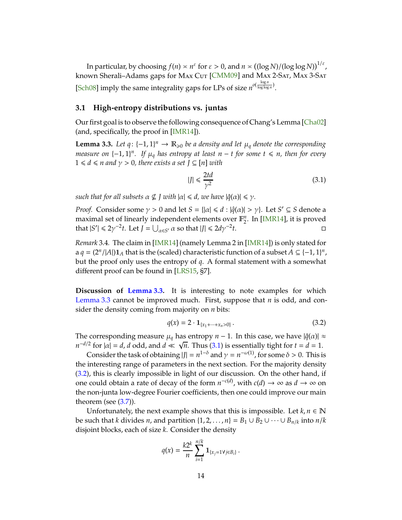<span id="page-13-4"></span>In particular, by choosing  $f(n) \asymp n^{\varepsilon}$  for  $\varepsilon > 0$ , and  $n \asymp ((\log N)/(\log \log N))^{1/\varepsilon}$ , known Sherali-Adams gaps for MAx Cut [\[CMM09\]](#page-23-5) and MAx 2-SAT, MAx 3-SAT [\[Sch08\]](#page-24-6) imply the same integrality gaps for LPs of size  $n^{o(\frac{\log n}{\log \log n})}$ .

## <span id="page-13-0"></span>**3.1 High-entropy distributions vs. juntas**

Our first goal is to observe the following consequence of Chang's Lemma [\[Cha02\]](#page-23-10) (and, specifically, the proof in [\[IMR14\]](#page-23-11)).

<span id="page-13-1"></span>**Lemma 3.3.** Let  $q$ : {−1, 1}<sup>n</sup> →  $\mathbb{R}_{\geqslant 0}$  be a density and let  $\mu_q$  denote the corresponding *measure on*  $\{-1, 1\}$ <sup>*n*</sup>. If  $\mu_q$  has entropy at least n − *t* for some  $t \le n$ , then for every  $1 \le d \le n$  and  $\gamma > 0$ , there exists a set  $J \subseteq [n]$  with

<span id="page-13-2"></span>
$$
|J| \le \frac{2td}{\gamma^2} \tag{3.1}
$$

*such that for all subsets*  $\alpha \nsubseteq I$  with  $|\alpha| \le d$ , we have  $|\hat{q}(\alpha)| \le \gamma$ .

*Proof.* Consider some  $\gamma > 0$  and let  $S = \{|\alpha| \le d : |\hat{q}(\alpha)| > \gamma\}$ . Let  $S' \subseteq S$  denote a maximal set of linearly independent elements over F *n*  $n/2$ . In [\[IMR14\]](#page-23-11), it is proved that  $|S'| \leq 2\gamma^{-2}t$ . Let  $J = \bigcup_{\alpha \in S'} \alpha$  so that  $|J| \leq 2d\gamma^{-2}$ *t*. □

*Remark* 3.4*.* The claim in [\[IMR14\]](#page-23-11) (namely Lemma 2 in [\[IMR14\]](#page-23-11)) is only stated for a  $q = (2^n / |A|) \mathbf{1}_A$  that is the (scaled) characteristic function of a subset  $A \subseteq \{-1, 1\}^n$ , but the proof only uses the entropy of *q*. A formal statement with a somewhat different proof can be found in [\[LRS15,](#page-24-3) §7].

**Discussion of [Lemma 3.3.](#page-13-1)** It is interesting to note examples for which [Lemma 3.3](#page-13-1) cannot be improved much. First, suppose that *n* is odd, and consider the density coming from majority on *n* bits:

<span id="page-13-3"></span>
$$
q(x) = 2 \cdot \mathbf{1}_{\{x_1 + \dots + x_n > 0\}} \,. \tag{3.2}
$$

The corresponding measure  $\mu_q$  has entropy  $n - 1$ . In this case, we have  $|\hat{q}(\alpha)| \approx$  $n^{-d/2}$  for  $|\alpha| = d$ , *d* odd, and  $d \ll \sqrt{n}$ . Thus [\(3.1\)](#page-13-2) is essentially tight for  $t = d = 1$ .

Consider the task of obtaining  $|J| = n^{1-\delta}$  and  $\gamma = n^{-\omega(1)}$ , for some  $\delta > 0$ . This is the interesting range of parameters in the next section. For the majority density [\(3.2\)](#page-13-3), this is clearly impossible in light of our discussion. On the other hand, if one could obtain a rate of decay of the form  $n^{-c(d)}$ , with  $c(d) \to \infty$  as  $d \to \infty$  on the non-junta low-degree Fourier coefficients, then one could improve our main theorem (see  $(3.7)$ ).

Unfortunately, the next example shows that this is impossible. Let  $k, n \in \mathbb{N}$ be such that *k* divides *n*, and partition  $\{1, 2, ..., n\} = B_1 \cup B_2 \cup \cdots \cup B_{n/k}$  into  $n/k$ disjoint blocks, each of size *k*. Consider the density

$$
q(x) = \frac{k2^k}{n} \sum_{i=1}^{n/k} \mathbf{1}_{\{x_j = 1 \forall j \in B_i\}}.
$$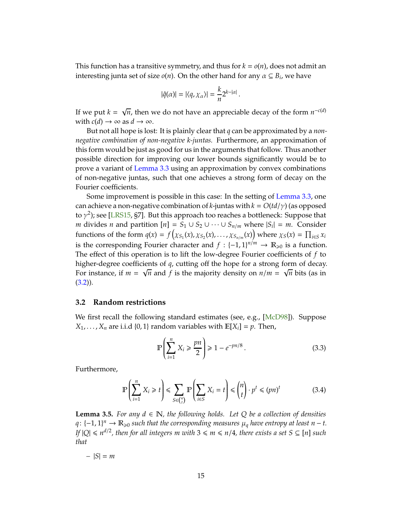<span id="page-14-4"></span>This function has a transitive symmetry, and thus for  $k = o(n)$ , does not admit an interesting junta set of size  $o(n)$ . On the other hand for any  $\alpha \subseteq B_i$ , we have

$$
|\hat{q}(\alpha)| = |\langle q, \chi_{\alpha} \rangle| = \frac{k}{n} 2^{k - |\alpha|}.
$$

If we put  $k = \sqrt{n}$ , then we do not have an appreciable decay of the form  $n^{-c(d)}$ with  $c(d) \rightarrow \infty$  as  $d \rightarrow \infty$ .

But not all hope is lost: It is plainly clear that *q* can be approximated by a *nonnegative combination of non-negative k-juntas.* Furthermore, an approximation of this form would be just as good for us in the arguments that follow. Thus another possible direction for improving our lower bounds significantly would be to prove a variant of [Lemma 3.3](#page-13-1) using an approximation by convex combinations of non-negative juntas, such that one achieves a strong form of decay on the Fourier coefficients.

Some improvement is possible in this case: In the setting of [Lemma 3.3,](#page-13-1) one can achieve a non-negative combination of *k*-juntas with  $k = O(t d/\gamma)$  (as opposed to  $\gamma^2$ ); see [\[LRS15,](#page-24-3) §7]. But this approach too reaches a bottleneck: Suppose that *m* divides *n* and partition  $[n] = S_1 ∪ S_2 ∪ · · · ∪ S_n/m$  where  $|S_i| = m$ . Consider functions of the form  $q(x) = f(x_{S_1}(x), x_{S_2}(x), \ldots, x_{S_{n/m}}(x))$  where  $x_S(x) = \prod_{i \in S} x_i$ is the corresponding Fourier character and  $f : \{-1,1\}^{n/m} \to \mathbb{R}_{\geqslant 0}$  is a function. The effect of this operation is to lift the low-degree Fourier coefficients of *f* to higher-degree coefficients of *q*, cutting off the hope for a strong form of decay. For instance, if  $m = \sqrt{n}$  and  $\overrightarrow{f}$  is the majority density on  $n/m = \sqrt{n}$  bits (as in  $(3.2)$ .

#### <span id="page-14-0"></span>**3.2 Random restrictions**

We first recall the following standard estimates (see, e.g., [\[McD98\]](#page-24-9)). Suppose  $X_1, \ldots, X_n$  are i.i.d {0, 1} random variables with  $\mathbb{E}[X_i] = p$ . Then,

<span id="page-14-1"></span>
$$
\mathbb{P}\left(\sum_{i=1}^{n} X_i \geqslant \frac{pn}{2}\right) \geqslant 1 - e^{-pn/8} \,. \tag{3.3}
$$

Furthermore,

<span id="page-14-2"></span>
$$
\mathbb{P}\left(\sum_{i=1}^{n} X_i \geq t\right) \leq \sum_{S \in {n \choose t}} \mathbb{P}\left(\sum_{i \in S} X_i = t\right) \leq {n \choose t} \cdot p^t \leq (pn)^t \tag{3.4}
$$

<span id="page-14-3"></span>**Lemma 3.5.** *For any*  $d \in \mathbb{N}$ *, the following holds. Let Q be a collection of densities q*: {-1, 1}<sup>n</sup> →  $\mathbb{R}_{\geq 0}$  such that the corresponding measures  $\mu_q$  have entropy at least n – *t*. *If*  $|Q| \le n^{d/2}$ , then for all integers m with  $3 \le m \le n/4$ , there exists a set  $S \subseteq [n]$  such *that*

$$
-|S|=m
$$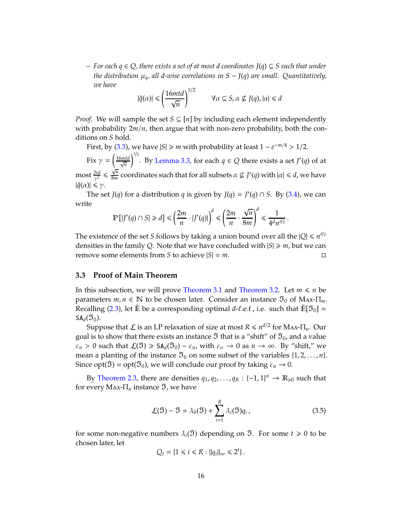*– For each q* ∈ *Q, there exists a set of at most d coordinates J*(*q*) ⊆ *S such that under the distribution* µ*q, all d-wise correlations in S* − *J*(*q*) *are small. Quantitatively, we have*

$$
|\hat{q}(\alpha)| \leq \left(\frac{16mtd}{\sqrt{n}}\right)^{1/2} \qquad \forall \alpha \subseteq S, \alpha \not\subseteq J(q), |\alpha| \leq d
$$

*Proof.* We will sample the set  $S \subseteq [n]$  by including each element independently with probability  $2m/n$ , then argue that with non-zero probability, both the conditions on *S* hold.

First, by [\(3.3\)](#page-14-1), we have  $|S| \ge m$  with probability at least  $1 - e^{-m/4} > 1/2$ .

Fix  $\gamma = \left(\frac{16mtd}{\sqrt{n}}\right)$  $\sqrt{\frac{1}{2}}$ . By [Lemma 3.3,](#page-13-1) for each  $q \in Q$  there exists a set  $J'(q)$  of at  $\text{most } \frac{2td}{\gamma^2} \leqslant \frac{\sqrt{n}}{8m}$  $\frac{\mathsf{Y}^n}{8m}$  coordinates such that for all subsets  $\alpha \nsubseteq J'(q)$  with  $|\alpha| \leq d$ , we have  $|\hat{q}(\alpha)| \leq \gamma$ .

The set *J*(*q*) for a distribution *q* is given by *J*(*q*) = *J*'(*q*)  $\cap$  *S*. By [\(3.4\)](#page-14-2), we can write

$$
\mathbb{P}\left[|J'(q) \cap S| \ge d\right] \le \left(\frac{2m}{n} \cdot |J'(q)|\right)^d \le \left(\frac{2m}{n} \cdot \frac{\sqrt{n}}{8m}\right)^d \le \frac{1}{4^d n^{d/2}}.
$$

The existence of the set *S* follows by taking a union bound over all the  $|Q| \le n^{d/2}$ densities in the family Q. Note that we have concluded with  $|S| \ge m$ , but we can remove some elements from *S* to achieve  $|S| = m$ .

## <span id="page-15-0"></span>**3.3 Proof of Main Theorem**

In this subsection, we will prove [Theorem 3.1](#page-12-1) and [Theorem 3.2.](#page-12-2) Let  $m \le n$  be parameters  $m, n \in \mathbb{N}$  to be chosen later. Consider an instance  $\mathfrak{I}_0$  of MAx- $\Pi_m$ . Recalling [\(2.3\)](#page-11-1), let  $\mathbb{\tilde{E}}$  be a corresponding optimal *d*-*ℓ*.e.f., i.e. such that  $\mathbb{\tilde{E}}[\mathfrak{I}_0]$  =  $SA_d(\mathfrak{I}_0)$ .

Suppose that  $\mathcal{L}$  is an LP relaxation of size at most  $R \leq n^{d/2}$  for Max- $\Pi_n$ . Our goal is to show that there exists an instance  $\mathfrak I$  that is a "shift" of  $\mathfrak I_0$ , and a value  $\varepsilon_n > 0$  such that  $\mathcal{L}(\mathfrak{I}) \geq \mathsf{SA}_d(\mathfrak{I}_0) - \varepsilon_n$ , with  $\varepsilon_n \to 0$  as  $n \to \infty$ . By "shift," we mean a planting of the instance  $\mathfrak{I}_0$  on some subset of the variables  $\{1, 2, \ldots, n\}$ . Since opt( $\mathfrak{I}$ ) = opt( $\mathfrak{I}_0$ ), we will conclude our proof by taking  $\varepsilon_n \to 0$ .

By [Theorem 2.3,](#page-8-0) there are densities  $q_1, q_2, \ldots, q_R : \{-1, 1\}^n \to \mathbb{R}_{\geq 0}$  such that for every  $\text{Max-}\Pi_n$  instance  $\mathfrak{I}$ , we have

<span id="page-15-1"></span>
$$
\mathcal{L}(\mathfrak{I}) - \mathfrak{I} = \lambda_0(\mathfrak{I}) + \sum_{i=1}^R \lambda_i(\mathfrak{I}) q_i, \qquad (3.5)
$$

for some non-negative numbers  $\lambda_i(\mathfrak{I})$  depending on  $\mathfrak{I}$ . For some  $t \geq 0$  to be chosen later, let

$$
Q_t = \{1 \le i \le R : ||q_i||_{\infty} \le 2^t\}.
$$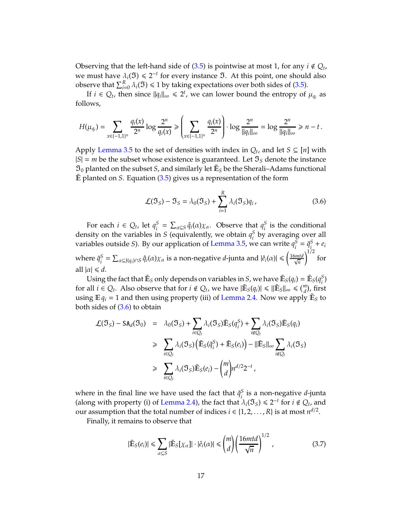Observing that the left-hand side of  $(3.5)$  is pointwise at most 1, for any  $i \notin Q_t$ , we must have  $\lambda_i(\mathfrak{I}) \leq 2^{-t}$  for every instance  $\mathfrak{I}$ . At this point, one should also observe that  $\sum_{i=0}^{R} \lambda_i(\mathfrak{I}) \leq 1$  by taking expectations over both sides of [\(3.5\)](#page-15-1).

If  $i \in Q_t$ , then since  $||q_i||_{\infty} \le 2^t$ , we can lower bound the entropy of  $\mu_{q_i}$  as follows,

$$
H(\mu_{q_i}) = \sum_{x \in \{-1,1\}^n} \frac{q_i(x)}{2^n} \log \frac{2^n}{q_i(x)} \ge \left(\sum_{x \in \{-1,1\}^n} \frac{q_i(x)}{2^n}\right) \cdot \log \frac{2^n}{||q_i||_{\infty}} = \log \frac{2^n}{||q_i||_{\infty}} \ge n-t\,.
$$

Apply [Lemma 3.5](#page-14-3) to the set of densities with index in  $Q_t$ , and let  $S \subseteq [n]$  with  $|S| = m$  be the subset whose existence is guaranteed. Let  $\mathfrak{I}_S$  denote the instance  $\mathfrak{I}_0$  planted on the subset *S*, and similarly let  $\mathbb{E}_S$  be the Sherali–Adams functional  $\tilde{E}$  planted on *S*. Equation [\(3.5\)](#page-15-1) gives us a representation of the form

<span id="page-16-1"></span>
$$
\mathcal{L}(\mathfrak{I}_S) - \mathfrak{I}_S = \lambda_0(\mathfrak{I}_S) + \sum_{i=1}^R \lambda_i(\mathfrak{I}_S) q_i,
$$
 (3.6)

For each  $i \in Q_t$ , let  $q_i^S$  $S_i = \sum_{\alpha \subseteq S} \hat{q}_i(\alpha) \chi_\alpha$ . Observe that  $q_i^S$  $\frac{5}{i}$  is the conditional density on the variables in *S* (equivalently, we obtain  $q_i^S$  $\frac{5}{i}$  by averaging over all variables outside *S*). By our application of [Lemma 3.5,](#page-14-3) we can write  $q_i^S$  $i^S = \tilde{q}_i^S$  $\frac{s}{i} + e_i$ where  $\tilde{q}^S_i$  $S_i^S = \sum_{\alpha \subseteq J(q_i) \cap S} \hat{q}_i(\alpha) \chi_\alpha$  is a non-negative *d*-junta and  $|\hat{e}_i(\alpha)| \leqslant \left(\frac{16mtd}{\sqrt{n}}\right)^{1/2}$  $1/2$ for all  $|\alpha| \le d$ .

Using the fact that  $\tilde{\mathbb{E}}_S$  only depends on variables in *S*, we have  $\tilde{\mathbb{E}}_S(q_i) = \tilde{\mathbb{E}}_S(q_i^S)$ *i* ) for all  $i \in Q_t$ . Also observe that for  $i \notin Q_t$ , we have  $|\tilde{\mathbb{E}}_S(q_i)| \leq ||\tilde{\mathbb{E}}_S||_{\infty} \leq (m \choose d)$ , first using  $\mathbb{E} q_i = 1$  and then using property (iii) of [Lemma 2.4.](#page-11-2) Now we apply  $\tilde{\mathbb{E}}_S$  to both sides of [\(3.6\)](#page-16-1) to obtain

$$
\mathcal{L}(\mathfrak{I}_S) - SA_d(\mathfrak{I}_0) = \lambda_0(\mathfrak{I}_S) + \sum_{i \in Q_t} \lambda_i(\mathfrak{I}_S) \tilde{\mathbb{E}}_S(q_i^S) + \sum_{i \notin Q_t} \lambda_i(\mathfrak{I}_S) \tilde{\mathbb{E}}_S(q_i)
$$
  
\n
$$
\geq \sum_{i \in Q_t} \lambda_i(\mathfrak{I}_S) \left( \tilde{\mathbb{E}}_S(\tilde{q}_i^S) + \tilde{\mathbb{E}}_S(e_i) \right) - ||\tilde{\mathbb{E}}_S||_{\infty} \sum_{i \notin Q_t} \lambda_i(\mathfrak{I}_S)
$$
  
\n
$$
\geq \sum_{i \in Q_t} \lambda_i(\mathfrak{I}_S) \tilde{\mathbb{E}}_S(e_i) - {m \choose d} n^{d/2} 2^{-t},
$$

where in the final line we have used the fact that  $\tilde{q}^S_i$ *i* is a non-negative *d*-junta (along with property (i) of [Lemma 2.4\)](#page-11-2), the fact that  $\lambda_i(\mathfrak{I}_S) \leq 2^{-t}$  for  $i \notin Q_t$ , and our assumption that the total number of indices  $i \in \{1, 2, ..., R\}$  is at most  $n^{d/2}$ .

Finally, it remains to observe that

<span id="page-16-0"></span>
$$
|\tilde{\mathbb{E}}_S(e_i)| \leq \sum_{\alpha \subseteq S} |\tilde{\mathbb{E}}_S[\chi_\alpha]| \cdot |\hat{e}_i(\alpha)| \leq {m \choose d} \left(\frac{16mtd}{\sqrt{n}}\right)^{1/2},
$$
\n(3.7)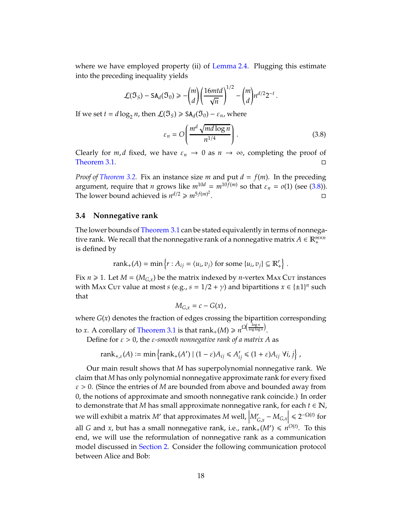where we have employed property (ii) of [Lemma 2.4.](#page-11-2) Plugging this estimate into the preceding inequality yields

$$
\mathcal{L}(\mathfrak{I}_S) - \mathrm{SA}_d(\mathfrak{I}_0) \geqslant -\binom{m}{d} \left(\frac{16mtd}{\sqrt{n}}\right)^{1/2} - \binom{m}{d} n^{d/2} 2^{-t}.
$$

If we set  $t = d \log_2 n$ , then  $\mathcal{L}(\mathfrak{I}_S) \geq \text{SA}_d(\mathfrak{I}_0) - \varepsilon_n$ , where

<span id="page-17-1"></span>
$$
\varepsilon_n = O\left(\frac{m^d \sqrt{md \log n}}{n^{1/4}}\right). \tag{3.8}
$$

Clearly for *m*, *d* fixed, we have  $\varepsilon_n \to 0$  as  $n \to \infty$ , completing the proof of [Theorem 3.1.](#page-12-1)

*Proof of [Theorem 3.2.](#page-12-2)* Fix an instance size *m* and put  $d = f(m)$ . In the preceding argument, require that *n* grows like  $m^{10d} = m^{10f(m)}$  so that  $\varepsilon_n = o(1)$  (see [\(3.8\)](#page-17-1)). The lower bound achieved is  $n^{d/2} \geq m^{5f(m)^2}$ . В последните последните под извести в собстание и собстание и собстание и собстание и собстание и собстание <br>В собстание и собстание и собстание и собстание и собстание и собстание и собстание и собстание и собстание и<br>

#### <span id="page-17-0"></span>**3.4 Nonnegative rank**

The lower bounds of [Theorem 3.1](#page-12-1) can be stated equivalently in terms of nonnegative rank. We recall that the nonnegative rank of a nonnegative matrix  $A \in \mathbb{R}_+^{m \times n}$ is defined by

$$
rank_{+}(A) = \min \left\{ r : A_{ij} = \langle u_i, v_j \rangle \text{ for some } \{u_i, v_j\} \subseteq \mathbb{R}_+^r \right\}.
$$

Fix  $n \ge 1$ . Let  $M = (M_{G,x})$  be the matrix indexed by *n*-vertex MAx Cur instances with Max Cut value at most *s* (e.g.,  $s = 1/2 + \gamma$ ) and bipartitions  $x \in {\pm 1}^n$  such that

$$
M_{G,x}=c-G(x),
$$

where *G*(*x*) denotes the fraction of edges crossing the bipartition corresponding

to *x*. A corollary of [Theorem 3.1](#page-12-1) is that  $\text{rank}_+(M) \geq n^{\Omega\left(\frac{\log n}{\log\log n}\right)}$ .

Define for  $\varepsilon > 0$ , the  $\varepsilon$ -smooth nonnegative rank of a matrix A as

$$
rank_{+,\varepsilon}(A) := \min \left\{ rank_{+}(A') \mid (1-\varepsilon)A_{ij} \leq A'_{ij} \leq (1+\varepsilon)A_{ij} \ \forall i,j \right\},\,
$$

Our main result shows that *M* has superpolynomial nonnegative rank. We claim that *M* has only polynomial nonnegative approximate rank for every fixed  $\varepsilon > 0$ . (Since the entries of *M* are bounded from above and bounded away from 0, the notions of approximate and smooth nonnegative rank coincide.) In order to demonstrate that *M* has small approximate nonnegative rank, for each  $t \in \mathbb{N}$ , we will exhibit a matrix *M'* that approximates *M* well,  $|M'_{G,x} - M_{G,x}| \le 2^{-\Omega(t)}$  for all *G* and *x,* but has a small nonnegative rank, i.e.,  $\text{rank}_+(M') \leqslant n^{O(t)}.$  To this end, we will use the reformulation of nonnegative rank as a communication model discussed in [Section 2.](#page-6-0) Consider the following communication protocol between Alice and Bob: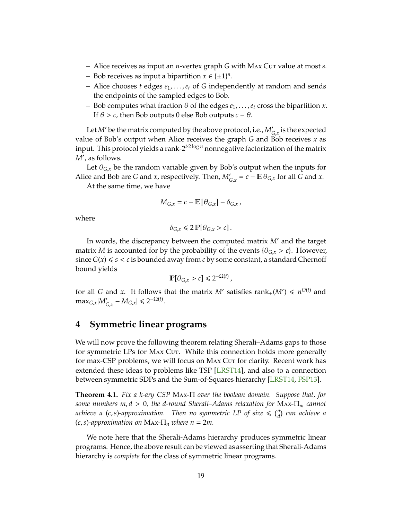- <span id="page-18-2"></span>– Alice receives as input an *n*-vertex graph *G* with Max Cut value at most *s*.
- − Bob receives as input a bipartition  $x \in {\pm 1}^n$ .
- Alice chooses *t* edges *e*1, . . . ,*e<sup>t</sup>* of *G* independently at random and sends the endpoints of the sampled edges to Bob.
- Bob computes what fraction  $\theta$  of the edges  $e_1, \ldots, e_t$  cross the bipartition *x*. If  $\theta > c$ , then Bob outputs 0 else Bob outputs  $c - \theta$ .

Let  $M'$  be the matrix computed by the above protocol, i.e.,  $M'_{G,\chi}$  is the expected value of Bob's output when Alice receives the graph *G* and Bob receives *x* as input. This protocol yields a rank-2*t*·2 log *<sup>n</sup>* nonnegative factorization of the matrix *M*′ , as follows.

Let  $\theta_{G,x}$  be the random variable given by Bob's output when the inputs for Alice and Bob are *G* and *x*, respectively. Then,  $M'_{G,x} = c - \mathbb{E} \theta_{G,x}$  for all *G* and *x*.

At the same time, we have

$$
M_{G,x} = c - \mathbb{E} \left[ \theta_{G,x} \right] - \delta_{G,x},
$$

where

$$
\delta_{G,x} \leq 2 \, \mathbb{P}[\theta_{G,x} > c] \, .
$$

In words, the discrepancy between the computed matrix *M*′ and the target matrix *M* is accounted for by the probability of the events  $\{\theta_{G,x} > c\}$ . However, since  $G(x) \le s < c$  is bounded away from *c* by some constant, a standard Chernoff bound yields

$$
\mathbb{P}[\theta_{G,x} > c] \leq 2^{-\Omega(t)},
$$

for all *G* and *x*. It follows that the matrix *M'* satisfies  $rank_{+}(M') \le n^{O(t)}$  and  $\max_{G,x} |M'_{G,x} - M_{G,x}| \le 2^{-\Omega(t)}.$ 

# <span id="page-18-0"></span>**4 Symmetric linear programs**

We will now prove the following theorem relating Sherali–Adams gaps to those for symmetric LPs for MAx Cut. While this connection holds more generally for max-CSP problems, we will focus on Max Cut for clarity. Recent work has extended these ideas to problems like TSP [\[LRST14\]](#page-24-2), and also to a connection between symmetric SDPs and the Sum-of-Squares hierarchy [\[LRST14,](#page-24-2) [FSP13\]](#page-23-2).

<span id="page-18-1"></span>**Theorem 4.1.** *Fix a k-ary CSP* Max-Π *over the boolean domain. Suppose that, for some numbers m*, *d* > 0*, the d-round Sherali–Adams relaxation for* Max-Π*<sup>m</sup> cannot* achieve a (c,*s*)-approximation. Then no symmetric LP of size  $\leq$   $\binom{n}{d}$  can achieve a  $(c, s)$ -approximation on Max- $\Pi_n$  *where*  $n = 2m$ .

We note here that the Sherali-Adams hierarchy produces symmetric linear programs. Hence, the above result can be viewed as asserting that Sherali-Adams hierarchy is *complete* for the class of symmetric linear programs.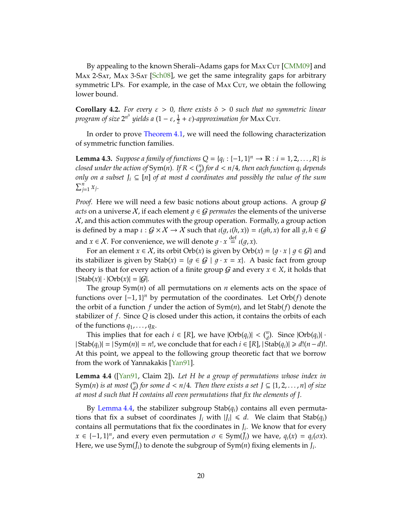<span id="page-19-2"></span>By appealing to the known Sherali–Adams gaps for MAX Cut [\[CMM09\]](#page-23-5) and Max 2-Sat, Max 3-Sat [\[Sch08\]](#page-24-6), we get the same integrality gaps for arbitrary symmetric LPs. For example, in the case of Max Cut, we obtain the following lower bound.

**Corollary 4.2.** *For every*  $\varepsilon > 0$ , *there exists*  $\delta > 0$  *such that no symmetric linear program of size*  $2^{n^{\delta}}$  yields a (1 – ε,  $\frac{1}{2}$  + ε)-approximation for MAx Cuτ.

In order to prove [Theorem 4.1,](#page-18-1) we will need the following characterization of symmetric function families.

<span id="page-19-1"></span>**Lemma 4.3.** *Suppose a family of functions*  $Q = \{q_i : \{-1, 1\}^n \to \mathbb{R} : i = 1, 2, ..., R\}$  *is closed under the action of*  $Sym(n)$ . If  $R < \binom{n}{d}$  for  $d < n/4$ , then each function  $q_i$  depends *only on a subset J<sup>i</sup>* ⊆ [*n*] *of at most d coordinates and possibly the value of the sum*  $\sum_{j=1}^n x_j$ .

*Proof.* Here we will need a few basic notions about group actions. A group  $G$ *acts* on a universe X, if each element  $q \in G$  *permutes* the elements of the universe  $X$ , and this action commutes with the group operation. Formally, a group action is defined by a map  $\iota$  :  $G \times X \rightarrow X$  such that  $\iota(g, \iota(h, x)) = \iota(gh, x)$  for all  $g, h \in G$ and  $x \in \mathcal{X}$ . For convenience, we will denote  $g \cdot x \stackrel{\text{def}}{=} \iota(g, x)$ .

For an element  $x \in \mathcal{X}$ , its orbit Orb(*x*) is given by Orb(*x*) = { $q \cdot x | q \in \mathcal{G}$ } and its stabilizer is given by  $\text{Stab}(x) = \{q \in \mathcal{G} \mid q \cdot x = x\}.$  A basic fact from group theory is that for every action of a finite group  $G$  and every  $x \in X$ , it holds that  $|\text{Stab}(x)| \cdot |\text{Orb}(x)| = |G|.$ 

The group Sym(*n*) of all permutations on *n* elements acts on the space of functions over {−1, 1} *<sup>n</sup>* by permutation of the coordinates. Let Orb(*f*) denote the orbit of a function *f* under the action of Sym(*n*), and let Stab(*f*) denote the stabilizer of *f*. Since *Q* is closed under this action, it contains the orbits of each of the functions  $q_1, \ldots, q_R$ .

This implies that for each  $i \in [R]$ , we have  $|Orb(q_i)| < {n \choose d}$ . Since  $|Orb(q_i)| \cdot$  $|$  Stab( $q_i$ )| =  $|Sym(n)| = n!$ , we conclude that for each  $i \in [R]$ ,  $|Stab(q_i)| \ge d!(n-d)!$ . At this point, we appeal to the following group theoretic fact that we borrow from the work of Yannakakis [\[Yan91\]](#page-25-2).

<span id="page-19-0"></span>**Lemma 4.4** ([\[Yan91,](#page-25-2) Claim 2])**.** *Let H be a group of permutations whose index in* Sym(n) *is at most*  $\binom{n}{d}$  *for some*  $d < n/4$ *. Then there exists a set*  $J \subseteq \{1, 2, ..., n\}$  *of size at most d such that H contains all even permutations that fix the elements of J.*

By [Lemma 4.4,](#page-19-0) the stabilizer subgroup  $Stab(q_i)$  contains all even permutations that fix a subset of coordinates  $J_i$  with  $|J_i| \le d$ . We claim that  $\text{Stab}(q_i)$ contains all permutations that fix the coordinates in *J<sup>i</sup>* . We know that for every  $x \in \{-1, 1\}^n$ , and every even permutation  $\sigma \in \text{Sym}(\bar{J}_i)$  we have,  $q_i(x) = q_i(\sigma x)$ . Here, we use  $\text{Sym}(\bar{J}_i)$  to denote the subgroup of  $\text{Sym}(n)$  fixing elements in  $J_i$ .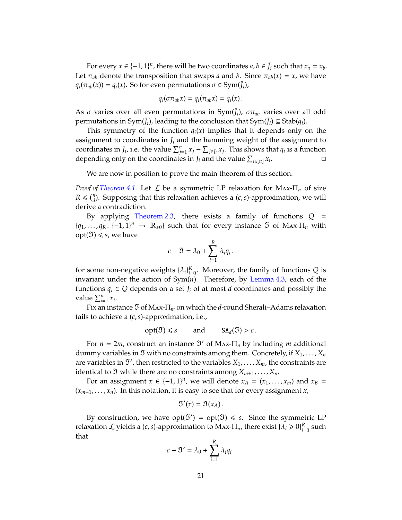For every  $x \in \{-1, 1\}^n$ , there will be two coordinates  $a, b \in \bar{J}_i$  such that  $x_a = x_b$ . Let  $\pi_{ab}$  denote the transposition that swaps *a* and *b*. Since  $\pi_{ab}(x) = x$ , we have  $q_i(\pi_{ab}(x)) = q_i(x)$ . So for even permutations  $\sigma \in Sym(\bar{J}_i)$ ,

$$
q_i(\sigma \pi_{ab} x) = q_i(\pi_{ab} x) = q_i(x).
$$

As  $\sigma$  varies over all even permutations in Sym( $\bar{J}_i$ ),  $\sigma \pi_{ab}$  varies over all odd permutations in Sym( $J_i$ ), leading to the conclusion that Sym( $J_i$ )  $\subseteq$  Stab( $q_i$ ).

This symmetry of the function  $q_i(x)$  implies that it depends only on the assignment to coordinates in  $J_i$  and the hamming weight of the assignment to coordinates in  $\bar{J}_i$ , i.e. the value  $\sum_{j=1}^n x_j - \sum_{j \in J_i} x_j$ . This shows that  $q_i$  is a function depending only on the coordinates in *J*<sub>*i*</sub> and the value  $\sum_{i \in [n]} x_i$ . — Первой Станингии II<br>См. на весь по станингии III станингии III станингии II станингии II станингии II стан<br>См. на весь по станингии II станингии II станингии II станингии II станингии II станингии II станингии II стан

We are now in position to prove the main theorem of this section.

*Proof of [Theorem 4.1.](#page-18-1)* Let  $\mathcal L$  be a symmetric LP relaxation for Max- $\Pi_n$  of size  $R \leq \binom{n}{d}$ . Supposing that this relaxation achieves a  $(c, s)$ -approximation, we will derive a contradiction.

By applying [Theorem 2.3,](#page-8-0) there exists a family of functions *Q* =  ${q_1, ..., q_R: {-1, 1}^n$  →  $\mathbb{R}_{\geq 0}$  such that for every instance  $\mathfrak I$  of Max- $\Pi_n$  with  $opt(**Y**) \le s$ , we have

$$
c - \mathfrak{I} = \lambda_0 + \sum_{i=1}^R \lambda_i q_i.
$$

for some non-negative weights  $\{\lambda_i\}_{i=0}^R$ . Moreover, the family of functions *Q* is invariant under the action of Sym(*n*). Therefore, by [Lemma 4.3,](#page-19-1) each of the functions  $q_i \in Q$  depends on a set  $J_i$  of at most  $d$  coordinates and possibly the value  $\sum_{i=1}^{n} x_i$ .

Fix an instance ℑ of Max-Π*<sup>m</sup>* on which the *d*-round Sherali–Adams relaxation fails to achieve a (*c*,*s*)-approximation, i.e.,

$$
opt(\mathfrak{I}) \leq s
$$
 and  $SA_d(\mathfrak{I}) > c$ .

For  $n = 2m$ , construct an instance  $\mathfrak{I}'$  of Max- $\Pi_n$  by including *m* additional dummy variables in  $\mathfrak I$  with no constraints among them. Concretely, if  $X_1, \ldots, X_n$ are variables in  $\mathfrak{I}'$ , then restricted to the variables  $X_1,\ldots,X_m$ , the constraints are identical to  $\mathfrak I$  while there are no constraints among  $X_{m+1}, \ldots, X_n$ .

For an assignment  $x \in \{-1, 1\}^n$ , we will denote  $x_A = (x_1, \ldots, x_m)$  and  $x_B =$  $(x_{m+1},...,x_n)$ . In this notation, it is easy to see that for every assignment *x*,

$$
\mathfrak{I}'(x)=\mathfrak{I}(x_A).
$$

By construction, we have  $opt(\mathfrak{V}') = opt(\mathfrak{V}) \leq s$ . Since the symmetric LP relaxation  $\mathcal L$  yields a (*c*,*s*)-approximation to Max- $\Pi_n$ , there exist { $\lambda_i \geqslant 0$ } $_{i=0}^R$  such that

$$
c - \mathfrak{V}' = \lambda_0 + \sum_{i=1}^R \lambda_i q_i \, .
$$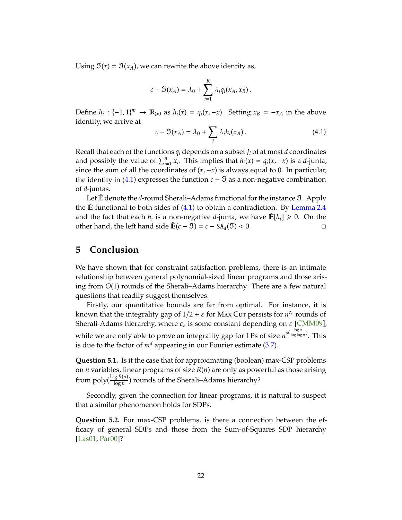<span id="page-21-3"></span>Using  $\mathfrak{I}(x) = \mathfrak{I}(x_A)$ , we can rewrite the above identity as,

$$
c - \Im(x_A) = \lambda_0 + \sum_{i=1}^R \lambda_i q_i(x_A, x_B).
$$

Define  $h_i: \{-1, 1\}^m \to \mathbb{R}_{\geq 0}$  as  $h_i(x) = q_i(x, -x)$ . Setting  $x_B = -x_A$  in the above identity, we arrive at

<span id="page-21-1"></span>
$$
c - \Im(x_A) = \lambda_0 + \sum_i \lambda_i h_i(x_A). \tag{4.1}
$$

Recall that each of the functions  $q_i$  depends on a subset  $J_i$  of at most *d* coordinates and possibly the value of  $\sum_{i=1}^{n} x_i$ . This implies that  $h_i(x) = q_i(x, -x)$  is a *d*-junta, since the sum of all the coordinates of  $(x, -x)$  is always equal to 0. In particular, the identity in  $(4.1)$  expresses the function  $c - \mathfrak{I}$  as a non-negative combination of *d*-juntas.

Let E denote the *d*-round Sherali–Adams functional for the instance **3**. Apply the  $\mathbb E$  functional to both sides of [\(4.1\)](#page-21-1) to obtain a contradiction. By [Lemma 2.4](#page-11-2) and the fact that each  $h_i$  is a non-negative *d*-junta, we have  $\mathbb{E}[h_i] \geq 0$ . On the other hand, the left hand side  $\tilde{E}(c - \mathfrak{I}) = c - SA_d(\mathfrak{I}) < 0$ . □

## <span id="page-21-0"></span>**5 Conclusion**

We have shown that for constraint satisfaction problems, there is an intimate relationship between general polynomial-sized linear programs and those arising from *O*(1) rounds of the Sherali–Adams hierarchy. There are a few natural questions that readily suggest themselves.

Firstly, our quantitative bounds are far from optimal. For instance, it is known that the integrality gap of  $1/2 + \varepsilon$  for Max Cur persists for  $n^{\varepsilon_{\varepsilon}}$  rounds of Sherali-Adams hierarchy, where  $c_{\varepsilon}$  is some constant depending on  $\varepsilon$  [\[CMM09\]](#page-23-5), while we are only able to prove an integrality gap for LPs of size  $n^{o(\frac{\log n}{\log\log n})}$ . This is due to the factor of  $m<sup>d</sup>$  appearing in our Fourier estimate [\(3.7\)](#page-16-0).

<span id="page-21-2"></span>**Question 5.1.** Is it the case that for approximating (boolean) max-CSP problems on *n* variables, linear programs of size *R*(*n*) are only as powerful as those arising from  $\operatorname{poly}(\frac{\log R(n)}{\log n})$  rounds of the Sherali–Adams hierarchy?

Secondly, given the connection for linear programs, it is natural to suspect that a similar phenomenon holds for SDPs.

**Question 5.2.** For max-CSP problems, is there a connection between the efficacy of general SDPs and those from the Sum-of-Squares SDP hierarchy [\[Las01,](#page-24-10) [Par00\]](#page-24-11)?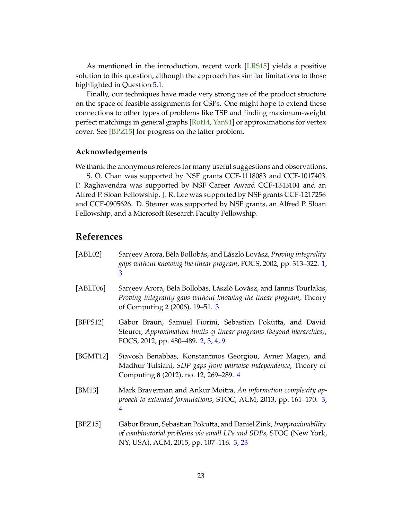<span id="page-22-6"></span>As mentioned in the introduction, recent work [\[LRS15\]](#page-24-3) yields a positive solution to this question, although the approach has similar limitations to those highlighted in Question [5.1.](#page-21-2)

Finally, our techniques have made very strong use of the product structure on the space of feasible assignments for CSPs. One might hope to extend these connections to other types of problems like TSP and finding maximum-weight perfect matchings in general graphs [\[Rot14,](#page-24-4) [Yan91\]](#page-25-2) or approximations for vertex cover. See [\[BPZ15\]](#page-22-2) for progress on the latter problem.

#### **Acknowledgements**

We thank the anonymous referees for many useful suggestions and observations.

S. O. Chan was supported by NSF grants CCF-1118083 and CCF-1017403. P. Raghavendra was supported by NSF Career Award CCF-1343104 and an Alfred P. Sloan Fellowship. J. R. Lee was supported by NSF grants CCF-1217256 and CCF-0905626. D. Steurer was supported by NSF grants, an Alfred P. Sloan Fellowship, and a Microsoft Research Faculty Fellowship.

# **References**

- <span id="page-22-0"></span>[ABL02] Sanjeev Arora, Béla Bollobás, and László Lovász, *Proving integrality gaps without knowing the linear program*, FOCS, 2002, pp. 313–322. [1,](#page-0-0) [3](#page-2-0)
- <span id="page-22-4"></span>[ABLT06] Sanjeev Arora, Béla Bollobás, László Lovász, and Iannis Tourlakis, *Proving integrality gaps without knowing the linear program*, Theory of Computing **2** (2006), 19–51. [3](#page-2-0)
- <span id="page-22-1"></span>[BFPS12] Gábor Braun, Samuel Fiorini, Sebastian Pokutta, and David Steurer, *Approximation limits of linear programs (beyond hierarchies)*, FOCS, 2012, pp. 480–489. [2,](#page-1-0) [3,](#page-2-0) [4,](#page-3-2) [9](#page-8-2)
- <span id="page-22-5"></span>[BGMT12] Siavosh Benabbas, Konstantinos Georgiou, Avner Magen, and Madhur Tulsiani, *SDP gaps from pairwise independence*, Theory of Computing **8** (2012), no. 12, 269–289. [4](#page-3-2)
- <span id="page-22-3"></span>[BM13] Mark Braverman and Ankur Moitra, *An information complexity approach to extended formulations*, STOC, ACM, 2013, pp. 161–170. [3,](#page-2-0) [4](#page-3-2)
- <span id="page-22-2"></span>[BPZ15] Gábor Braun, Sebastian Pokutta, and Daniel Zink, *Inapproximability of combinatorial problems via small LPs and SDPs*, STOC (New York, NY, USA), ACM, 2015, pp. 107–116. [3,](#page-2-0) [23](#page-22-6)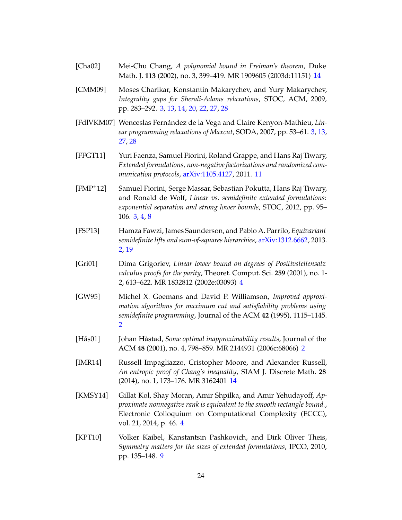- <span id="page-23-10"></span>[Cha02] Mei-Chu Chang, *A polynomial bound in Freiman's theorem*, Duke Math. J. **113** (2002), no. 3, 399–419. MR 1909605 (2003d:11151) [14](#page-13-4)
- <span id="page-23-5"></span>[CMM09] Moses Charikar, Konstantin Makarychev, and Yury Makarychev, *Integrality gaps for Sherali-Adams relaxations*, STOC, ACM, 2009, pp. 283–292. [3,](#page-2-0) [13,](#page-12-3) [14,](#page-13-4) [20,](#page-19-2) [22,](#page-21-3) [27,](#page-26-0) [28](#page-27-0)
- <span id="page-23-4"></span>[FdlVKM07] Wenceslas Fernández de la Vega and Claire Kenyon-Mathieu, *Linear programming relaxations of Maxcut*, SODA, 2007, pp. 53–61. [3,](#page-2-0) [13,](#page-12-3) [27,](#page-26-0) [28](#page-27-0)
- <span id="page-23-9"></span>[FFGT11] Yuri Faenza, Samuel Fiorini, Roland Grappe, and Hans Raj Tiwary, *Extended formulations, non-negative factorizations and randomized communication protocols*, [arXiv:1105.4127,](http://arxiv.org/abs/1105.4127) 2011. [11](#page-10-1)
- <span id="page-23-3"></span>[FMP+12] Samuel Fiorini, Serge Massar, Sebastian Pokutta, Hans Raj Tiwary, and Ronald de Wolf, *Linear vs. semidefinite extended formulations: exponential separation and strong lower bounds*, STOC, 2012, pp. 95– 106. [3,](#page-2-0) [4,](#page-3-2) [8](#page-7-1)
- <span id="page-23-2"></span>[FSP13] Hamza Fawzi, James Saunderson, and Pablo A. Parrilo, *Equivariant semidefinite lifts and sum-of-squares hierarchies*, [arXiv:1312.6662,](http://arxiv.org/abs/1312.6662) 2013. [2,](#page-1-0) [19](#page-18-2)
- <span id="page-23-6"></span>[Gri01] Dima Grigoriev, *Linear lower bound on degrees of Positivstellensatz calculus proofs for the parity*, Theoret. Comput. Sci. **259** (2001), no. 1- 2, 613–622. MR 1832812 (2002e:03093) [4](#page-3-2)
- <span id="page-23-1"></span>[GW95] Michel X. Goemans and David P. Williamson, *Improved approximation algorithms for maximum cut and satisfiability problems using semidefinite programming*, Journal of the ACM **42** (1995), 1115–1145. [2](#page-1-0)
- <span id="page-23-0"></span>[Hås01] Johan Håstad, *Some optimal inapproximability results*, Journal of the ACM **48** (2001), no. 4, 798–859. MR 2144931 (2006c:68066) [2](#page-1-0)
- <span id="page-23-11"></span>[IMR14] Russell Impagliazzo, Cristopher Moore, and Alexander Russell, *An entropic proof of Chang's inequality*, SIAM J. Discrete Math. **28** (2014), no. 1, 173–176. MR 3162401 [14](#page-13-4)
- <span id="page-23-7"></span>[KMSY14] Gillat Kol, Shay Moran, Amir Shpilka, and Amir Yehudayoff, *Approximate nonnegative rank is equivalent to the smooth rectangle bound.*, Electronic Colloquium on Computational Complexity (ECCC), vol. 21, 2014, p. 46. [4](#page-3-2)
- <span id="page-23-8"></span>[KPT10] Volker Kaibel, Kanstantsin Pashkovich, and Dirk Oliver Theis, *Symmetry matters for the sizes of extended formulations*, IPCO, 2010, pp. 135–148. [9](#page-8-2)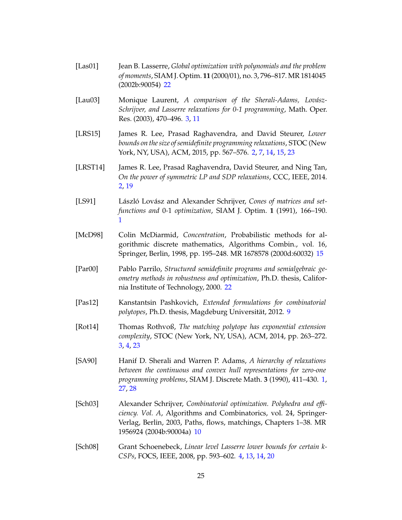- <span id="page-24-10"></span>[Las01] Jean B. Lasserre, *Global optimization with polynomials and the problem of moments*, SIAM J. Optim. **11** (2000/01), no. 3, 796–817. MR 1814045 (2002b:90054) [22](#page-21-3)
- <span id="page-24-5"></span>[Lau03] Monique Laurent, *A comparison of the Sherali-Adams, Lovász-Schrijver, and Lasserre relaxations for 0-1 programming*, Math. Oper. Res. (2003), 470–496. [3,](#page-2-0) [11](#page-10-1)
- <span id="page-24-3"></span>[LRS15] James R. Lee, Prasad Raghavendra, and David Steurer, *Lower bounds on the size of semidefinite programming relaxations*, STOC (New York, NY, USA), ACM, 2015, pp. 567–576. [2,](#page-1-0) [7,](#page-6-2) [14,](#page-13-4) [15,](#page-14-4) [23](#page-22-6)
- <span id="page-24-2"></span>[LRST14] James R. Lee, Prasad Raghavendra, David Steurer, and Ning Tan, *On the power of symmetric LP and SDP relaxations*, CCC, IEEE, 2014. [2,](#page-1-0) [19](#page-18-2)
- <span id="page-24-0"></span>[LS91] László Lovász and Alexander Schrijver, *Cones of matrices and setfunctions and* 0*-*1 *optimization*, SIAM J. Optim. **1** (1991), 166–190. [1](#page-0-0)
- <span id="page-24-9"></span>[McD98] Colin McDiarmid, *Concentration*, Probabilistic methods for algorithmic discrete mathematics, Algorithms Combin., vol. 16, Springer, Berlin, 1998, pp. 195–248. MR 1678578 (2000d:60032) [15](#page-14-4)
- <span id="page-24-11"></span>[Par00] Pablo Parrilo, *Structured semidefinite programs and semialgebraic geometry methods in robustness and optimization*, Ph.D. thesis, California Institute of Technology, 2000. [22](#page-21-3)
- <span id="page-24-7"></span>[Pas12] Kanstantsin Pashkovich, *Extended formulations for combinatorial polytopes*, Ph.D. thesis, Magdeburg Universität, 2012. [9](#page-8-2)
- <span id="page-24-4"></span>[Rot14] Thomas Rothvoß, *The matching polytope has exponential extension complexity*, STOC (New York, NY, USA), ACM, 2014, pp. 263–272. [3,](#page-2-0) [4,](#page-3-2) [23](#page-22-6)
- <span id="page-24-1"></span>[SA90] Hanif D. Sherali and Warren P. Adams, *A hierarchy of relaxations between the continuous and convex hull representations for zero-one programming problems*, SIAM J. Discrete Math. **3** (1990), 411–430. [1,](#page-0-0) [27,](#page-26-0) [28](#page-27-0)
- <span id="page-24-8"></span>[Sch03] Alexander Schrijver, *Combinatorial optimization. Polyhedra and e*ffi*ciency. Vol. A*, Algorithms and Combinatorics, vol. 24, Springer-Verlag, Berlin, 2003, Paths, flows, matchings, Chapters 1–38. MR 1956924 (2004b:90004a) [10](#page-9-0)
- <span id="page-24-6"></span>[Sch08] Grant Schoenebeck, *Linear level Lasserre lower bounds for certain k-CSPs*, FOCS, IEEE, 2008, pp. 593–602. [4,](#page-3-2) [13,](#page-12-3) [14,](#page-13-4) [20](#page-19-2)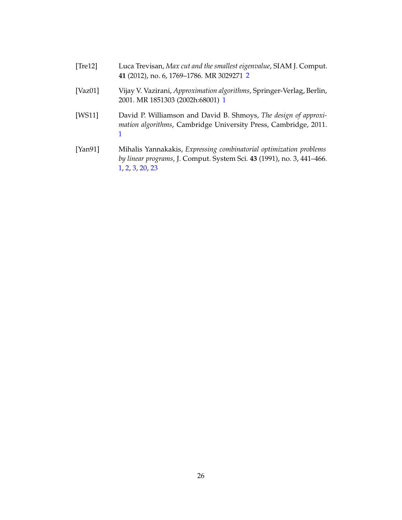<span id="page-25-3"></span><span id="page-25-0"></span>

| [Tre12]     | Luca Trevisan, Max cut and the smallest eigenvalue, SIAM J. Comput.<br>41 (2012), no. 6, 1769–1786. MR 3029271 2                   |
|-------------|------------------------------------------------------------------------------------------------------------------------------------|
| [ $Vaz01$ ] | Vijay V. Vazirani, Approximation algorithms, Springer-Verlag, Berlin,<br>2001. MR 1851303 (2002h:68001) 1                          |
| [WS11]      | David P. Williamson and David B. Shmoys, The design of approxi-<br>mation algorithms, Cambridge University Press, Cambridge, 2011. |
| [Yan91]     | Mihalis Yannakakis, Expressing combinatorial optimization problems                                                                 |

<span id="page-25-2"></span><span id="page-25-1"></span>*by linear programs*, J. Comput. System Sci. **43** (1991), no. 3, 441–466. [1,](#page-0-0) [2,](#page-1-0) [3,](#page-2-0) [20,](#page-19-2) [23](#page-22-6)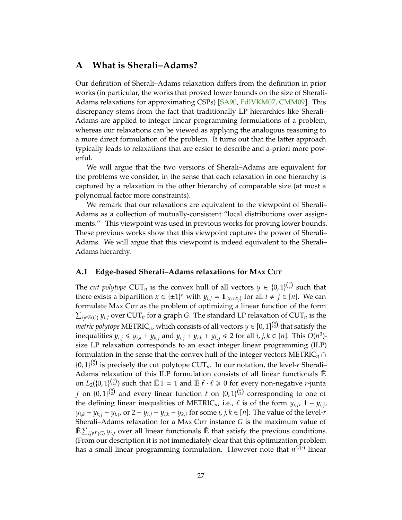# <span id="page-26-0"></span>**A What is Sherali–Adams?**

Our definition of Sherali–Adams relaxation differs from the definition in prior works (in particular, the works that proved lower bounds on the size of Sherali-Adams relaxations for approximating CSPs) [\[SA90,](#page-24-1) [FdlVKM07,](#page-23-4) [CMM09\]](#page-23-5). This discrepancy stems from the fact that traditionally LP hierarchies like Sherali– Adams are applied to integer linear programming formulations of a problem, whereas our relaxations can be viewed as applying the analogous reasoning to a more direct formulation of the problem. It turns out that the latter approach typically leads to relaxations that are easier to describe and a-priori more powerful.

We will argue that the two versions of Sherali–Adams are equivalent for the problems we consider, in the sense that each relaxation in one hierarchy is captured by a relaxation in the other hierarchy of comparable size (at most a polynomial factor more constraints).

We remark that our relaxations are equivalent to the viewpoint of Sherali– Adams as a collection of mutually-consistent "local distributions over assignments." This viewpoint was used in previous works for proving lower bounds. These previous works show that this viewpoint captures the power of Sherali– Adams. We will argue that this viewpoint is indeed equivalent to the Sherali– Adams hierarchy.

### **A.1 Edge-based Sherali–Adams relaxations for M**ax **C**ut

The *cut polytope*  $\text{CUT}_n$  is the convex hull of all vectors  $y \in \{0,1\}^{\binom{n}{2}}$  such that there exists a bipartition  $x \in {\pm 1}^n$  with  $y_{i,j} = 1_{\{x_i \neq x_j\}}$  for all  $i \neq j \in [n]$ . We can formulate MAX Cut as the problem of optimizing a linear function of the form  $\sum_{ij\in E(G)} y_{i,j}$  over  $CUT_n$  for a graph *G*. The standard LP relaxation of  $CUT_n$  is the *metric polytope*  $\text{METRIC}_n$ , which consists of all vectors  $y \in [0,1]^{n \choose 2}$  that satisfy the inequalities  $y_{i,j} \le y_{i,k} + y_{k,j}$  and  $y_{i,j} + y_{i,k} + y_{k,j} \le 2$  for all  $i, j, k \in [n]$ . This  $O(n^3)$ size LP relaxation corresponds to an exact integer linear programming (ILP) formulation in the sense that the convex hull of the integer vectors  $METRIC_n \cap$  $\{0, 1\}^{n \choose 2}$  is precisely the cut polytope CUT<sub>*n*</sub>. In our notation, the level-*r* Sherali– Adams relaxation of this ILP formulation consists of all linear functionals  $\mathbb{\tilde{E}}$ on  $L_2({0, 1}_{\infty}^{(\frac{n}{2})})$  such that  $\tilde{E}1 = 1$  and  $\tilde{E}f \cdot \ell \geq 0$  for every non-negative *r*-junta *f* on  $\{0,1\}^{\binom{n}{2}}$  and every linear function  $\ell$  on  $\{0,1\}^{\binom{n}{2}}$  corresponding to one of the defining linear inequalities of METRIC<sub>*n*</sub>, i.e.,  $\ell$  is of the form  $y_{i,j}$ , 1 –  $y_{i,j}$ ,  $y_{i,k} + y_{k,j} - y_{i,j}$ , or  $2 - y_{i,j} - y_{i,k} - y_{k,j}$  for some  $i, j, k \in [n]$ . The value of the level-*r* Sherali–Adams relaxation for a MAX Cur instance *G* is the maximum value of  $\mathbb{E} \sum_{ij \in E(G)} y_{i,j}$  over all linear functionals  $\mathbb{E}$  that satisfy the previous conditions. (From our description it is not immediately clear that this optimization problem has a small linear programming formulation. However note that *n O*(*r*) linear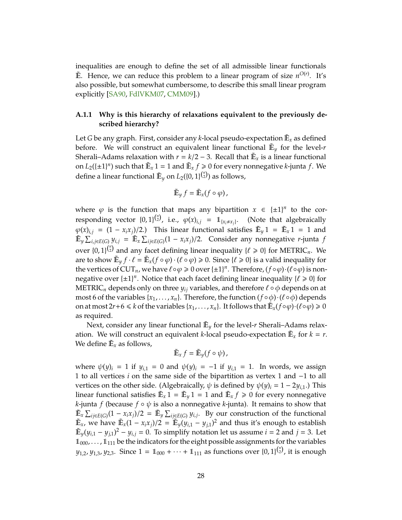<span id="page-27-0"></span>inequalities are enough to define the set of all admissible linear functionals  $\mathbb{E}$ . Hence, we can reduce this problem to a linear program of size  $n^{O(r)}$ . It's also possible, but somewhat cumbersome, to describe this small linear program explicitly [\[SA90,](#page-24-1) [FdlVKM07,](#page-23-4) [CMM09\]](#page-23-5).)

## **A.1.1 Why is this hierarchy of relaxations equivalent to the previously described hierarchy?**

Let  $G$  be any graph. First, consider any  $k$ -local pseudo-expectation  $\tilde{\mathbb{E}}_{x}$  as defined before. We will construct an equivalent linear functional  $\mathbb{E}_y$  for the level-*r* Sherali–Adams relaxation with  $r = \frac{k}{2} - 3$ . Recall that  $\mathbb{E}_x$  is a linear functional on  $L_2(\{\pm 1\}^n)$  such that  $\tilde{E}_x$  1 = 1 and  $\tilde{E}_x$  *f*  $\geqslant$  0 for every nonnegative *k*-junta *f*. We define a linear functional  $\tilde{\mathbb{E}}_y$  on  $L_2(\{0,1\}^{n\choose 2})$  as follows,

$$
\tilde{\mathbb{E}}_{y} f = \tilde{\mathbb{E}}_{x} (f \circ \varphi),
$$

where  $\varphi$  is the function that maps any bipartition  $x \in {\pm 1}^n$  to the corresponding vector  $\{0, 1\}^{\binom{n}{2}}$ , i.e.,  $\varphi(x)_{i,j} = 1\!\mathbb{1}_{\{x_i \neq x_j\}}$ . (Note that algebraically  $\varphi(x)_{i,j} = (1 - x_i x_j)/2$ .) This linear functional satisfies  $\tilde{E}_y 1 = \tilde{E}_x 1 = 1$  and  $\mathbb{E}_y \sum_{i,j \in E(G)} y_{i,j} = \mathbb{E}_x \sum_{ij \in E(G)} (1 - x_i x_j)/2$ . Consider any nonnegative *r*-junta *f* over  $\{0, 1\}^{\binom{n}{2}}$  and any facet defining linear inequality  $\{\ell \geq 0\}$  for METRIC<sub>*n*</sub>. We are to show  $\tilde{E}_y f \cdot \ell = \tilde{E}_x(f \circ \varphi) \cdot (\ell \circ \varphi) \geq 0$ . Since  $\{\ell \geq 0\}$  is a valid inequality for the vertices of  $CUT_n$ , we have  $\ell \circ \varphi \geq 0$  over  $\{\pm 1\}^n$ . Therefore,  $(f \circ \varphi) \cdot (\ell \circ \varphi)$  is nonnegative over  $\{\pm 1\}^n$ . Notice that each facet defining linear inequality  $\{\ell \geq 0\}$  for METRIC<sub>n</sub> depends only on three  $y_{ij}$  variables, and therefore  $\ell \circ \phi$  depends on at most 6 of the variables  $\{x_1, \ldots, x_n\}$ . Therefore, the function  $(f \circ \phi) \cdot (\ell \circ \phi)$  depends on at most 2*r* + 6  $\le k$  of the variables { $x_1, \ldots, x_n$ }. It follows that  $\tilde{\mathbb{E}}_x(f \circ \varphi) \cdot (\ell \circ \varphi) \ge 0$ as required.

Next, consider any linear functional  $\mathbb{E}_y$  for the level-*r* Sherali–Adams relaxation. We will construct an equivalent *k*-local pseudo-expectation  $\tilde{E}_x$  for  $k = r$ . We define  $\tilde{\mathbb{E}}_x$  as follows,

$$
\tilde{\mathbb{E}}_x f = \tilde{\mathbb{E}}_y (f \circ \psi),
$$

where  $\psi(y)_i = 1$  if  $y_{i,1} = 0$  and  $\psi(y)_i = -1$  if  $y_{i,1} = 1$ . In words, we assign 1 to all vertices *i* on the same side of the bipartition as vertex 1 and −1 to all vertices on the other side. (Algebraically, ψ is defined by ψ(*y*)*<sup>i</sup>* = 1 − 2*yi*,1.) This linear functional satisfies  $\mathbb{E}_x 1 = \mathbb{E}_y 1 = 1$  and  $\mathbb{E}_x f \geqslant 0$  for every nonnegative *k*-junta *f* (because  $f \circ \psi$  is also a nonnegative *k*-junta). It remains to show that  $\mathbb{E}_x \sum_{ij \in E(G)} (1 - x_i x_j)/2 = \mathbb{E}_y \sum_{ij \in E(G)} y_{i,j}$ . By our construction of the functional  $\mathbb{E}_x$ , we have  $\mathbb{E}_x(1 - x_i x_j)/2 = \mathbb{E}_y(y_{i,1} - y_{j,1})^2$  and thus it's enough to establish  $\mathbb{E}_y(y_{i,1} - y_{j,1})^2 - y_{i,j} = 0$ . To simplify notation let us assume  $i = 2$  and  $j = 3$ . Let  $1_{000}$ , ...,  $1_{111}$  be the indicators for the eight possible assignments for the variables *y*<sub>1,2</sub>, *y*<sub>1,3</sub>, *y*<sub>2,3</sub>. Since 1 = 1<sub>000</sub> +  $\cdots$  + 1<sub>111</sub> as functions over {0, 1}<sup>( $\binom{n}{2}$ </sup>, it is enough